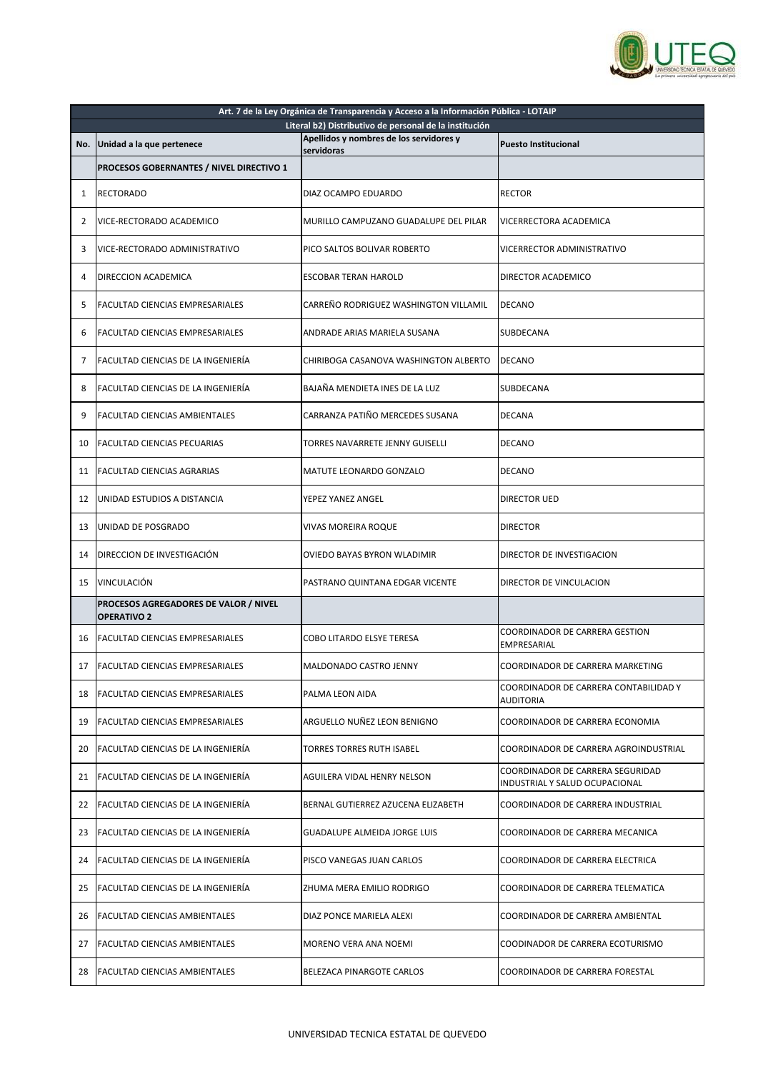

|    | Art. 7 de la Ley Orgánica de Transparencia y Acceso a la Información Pública - LOTAIP<br>Literal b2) Distributivo de personal de la institución |                                         |                                                                    |  |
|----|-------------------------------------------------------------------------------------------------------------------------------------------------|-----------------------------------------|--------------------------------------------------------------------|--|
|    | No. Unidad a la que pertenece                                                                                                                   | Apellidos y nombres de los servidores y | <b>Puesto Institucional</b>                                        |  |
|    |                                                                                                                                                 | servidoras                              |                                                                    |  |
|    | PROCESOS GOBERNANTES / NIVEL DIRECTIVO 1                                                                                                        |                                         |                                                                    |  |
| 1  | <b>RECTORADO</b>                                                                                                                                | DIAZ OCAMPO EDUARDO                     | <b>RECTOR</b>                                                      |  |
| 2  | <b>I</b> VICE-RECTORADO ACADEMICO                                                                                                               | MURILLO CAMPUZANO GUADALUPE DEL PILAR   | VICERRECTORA ACADEMICA                                             |  |
| 3  | VICE-RECTORADO ADMINISTRATIVO                                                                                                                   | PICO SALTOS BOLIVAR ROBERTO             | VICERRECTOR ADMINISTRATIVO                                         |  |
| 4  | DIRECCION ACADEMICA                                                                                                                             | <b>ESCOBAR TERAN HAROLD</b>             | DIRECTOR ACADEMICO                                                 |  |
| 5  | <b>FACULTAD CIENCIAS EMPRESARIALES</b>                                                                                                          | CARREÑO RODRIGUEZ WASHINGTON VILLAMIL   | <b>DECANO</b>                                                      |  |
| 6  | FACULTAD CIENCIAS EMPRESARIALES                                                                                                                 | <b>ANDRADE ARIAS MARIELA SUSANA</b>     | <b>SUBDECANA</b>                                                   |  |
| 7  | FACULTAD CIENCIAS DE LA INGENIERÍA                                                                                                              | CHIRIBOGA CASANOVA WASHINGTON ALBERTO   | <b>DECANO</b>                                                      |  |
| 8  | FACULTAD CIENCIAS DE LA INGENIERÍA                                                                                                              | BAJAÑA MENDIETA INES DE LA LUZ          | SUBDECANA                                                          |  |
| 9  | FACULTAD CIENCIAS AMBIENTALES                                                                                                                   | CARRANZA PATIÑO MERCEDES SUSANA         | <b>DECANA</b>                                                      |  |
| 10 | <b>FACULTAD CIENCIAS PECUARIAS</b>                                                                                                              | TORRES NAVARRETE JENNY GUISELLI         | <b>DECANO</b>                                                      |  |
| 11 | <b>FACULTAD CIENCIAS AGRARIAS</b>                                                                                                               | <b>MATUTE LEONARDO GONZALO</b>          | <b>DECANO</b>                                                      |  |
| 12 | UNIDAD ESTUDIOS A DISTANCIA                                                                                                                     | YEPEZ YANEZ ANGEL                       | <b>DIRECTOR UED</b>                                                |  |
|    | 13 <b>JUNIDAD DE POSGRADO</b>                                                                                                                   | IVIVAS MOREIRA ROQUE                    | <b>IDIRECTOR</b>                                                   |  |
| 14 | <b>DIRECCION DE INVESTIGACIÓN</b>                                                                                                               | OVIEDO BAYAS BYRON WLADIMIR             | DIRECTOR DE INVESTIGACION                                          |  |
| 15 | VINCULACIÓN                                                                                                                                     | PASTRANO QUINTANA EDGAR VICENTE         | DIRECTOR DE VINCULACION                                            |  |
|    | PROCESOS AGREGADORES DE VALOR / NIVEL<br><b>OPERATIVO 2</b>                                                                                     |                                         |                                                                    |  |
| 16 | <b>FACULTAD CIENCIAS EMPRESARIALES</b>                                                                                                          | <b>COBO LITARDO ELSYE TERESA</b>        | <b>COORDINADOR DE CARRERA GESTION</b><br>EMPRESARIAL               |  |
| 17 | <b>FACULTAD CIENCIAS EMPRESARIALES</b>                                                                                                          | <b>MALDONADO CASTRO JENNY</b>           | COORDINADOR DE CARRERA MARKETING                                   |  |
| 18 | <b>FACULTAD CIENCIAS EMPRESARIALES</b>                                                                                                          | PALMA LEON AIDA                         | COORDINADOR DE CARRERA CONTABILIDAD Y<br><b>AUDITORIA</b>          |  |
| 19 | IFACULTAD CIENCIAS EMPRESARIALES                                                                                                                | ARGUELLO NUÑEZ LEON BENIGNO             | COORDINADOR DE CARRERA ECONOMIA                                    |  |
| 20 | <b>FACULTAD CIENCIAS DE LA INGENIERÍA</b>                                                                                                       | <b>TORRES TORRES RUTH ISABEL</b>        | COORDINADOR DE CARRERA AGROINDUSTRIAL                              |  |
| 21 | FACULTAD CIENCIAS DE LA INGENIERÍA                                                                                                              | <b>AGUILERA VIDAL HENRY NELSON</b>      | COORDINADOR DE CARRERA SEGURIDAD<br>INDUSTRIAL Y SALUD OCUPACIONAL |  |
| 22 | <b>IFACULTAD CIENCIAS DE LA INGENIERÍA</b>                                                                                                      | BERNAL GUTIERREZ AZUCENA ELIZABETH      | COORDINADOR DE CARRERA INDUSTRIAL                                  |  |
| 23 | <b>FACULTAD CIENCIAS DE LA INGENIERÍA</b>                                                                                                       | <b>GUADALUPE ALMEIDA JORGE LUIS</b>     | COORDINADOR DE CARRERA MECANICA                                    |  |
| 24 | FACULTAD CIENCIAS DE LA INGENIERÍA                                                                                                              | PISCO VANEGAS JUAN CARLOS               | COORDINADOR DE CARRERA ELECTRICA                                   |  |
| 25 | FACULTAD CIENCIAS DE LA INGENIERÍA                                                                                                              | ZHUMA MERA EMILIO RODRIGO               | COORDINADOR DE CARRERA TELEMATICA                                  |  |
| 26 | FACULTAD CIENCIAS AMBIENTALES                                                                                                                   | DIAZ PONCE MARIELA ALEXI                | COORDINADOR DE CARRERA AMBIENTAL                                   |  |
| 27 | IFACULTAD CIENCIAS AMBIENTALES                                                                                                                  | MORENO VERA ANA NOEMI                   | COODINADOR DE CARRERA ECOTURISMO                                   |  |
| 28 | <b>FACULTAD CIENCIAS AMBIENTALES</b>                                                                                                            | <b>BELEZACA PINARGOTE CARLOS</b>        | <b>COORDINADOR DE CARRERA FORESTAL</b>                             |  |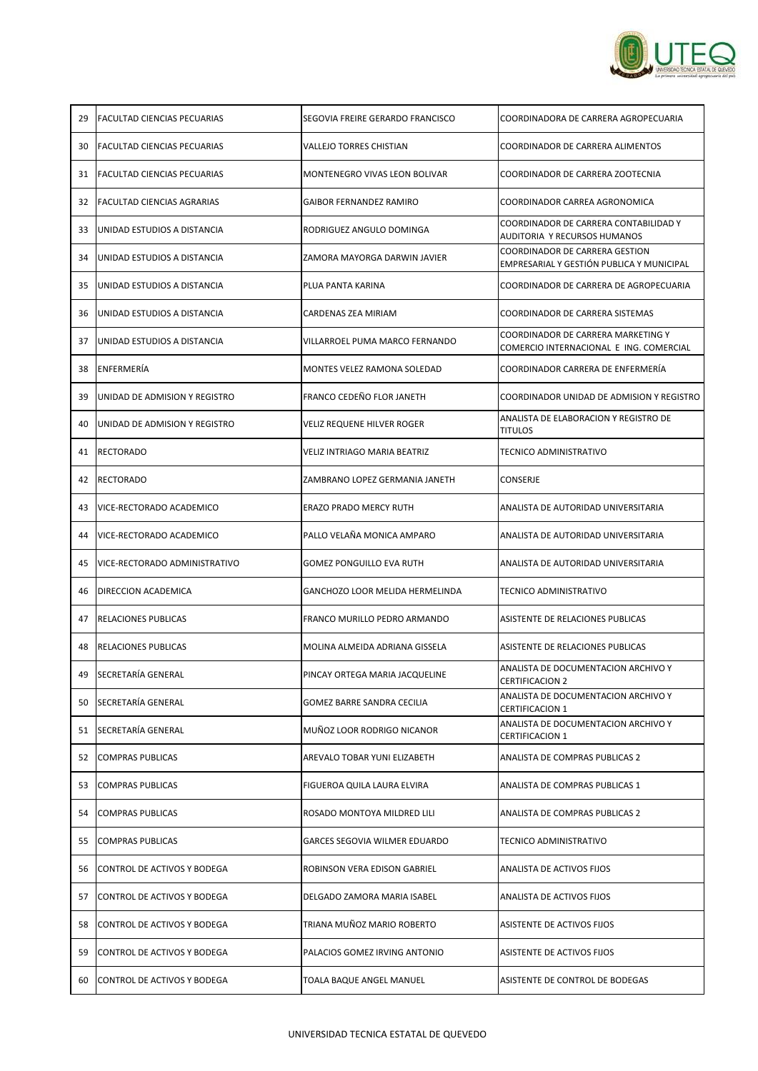

| 29 | <b>FACULTAD CIENCIAS PECUARIAS</b>  | SEGOVIA FREIRE GERARDO FRANCISCO       | COORDINADORA DE CARRERA AGROPECUARIA                                               |
|----|-------------------------------------|----------------------------------------|------------------------------------------------------------------------------------|
| 30 | FACULTAD CIENCIAS PECUARIAS         | <b>VALLEJO TORRES CHISTIAN</b>         | COORDINADOR DE CARRERA ALIMENTOS                                                   |
| 31 | IFACULTAD CIENCIAS PECUARIAS        | MONTENEGRO VIVAS LEON BOLIVAR          | COORDINADOR DE CARRERA ZOOTECNIA                                                   |
| 32 | <b>FACULTAD CIENCIAS AGRARIAS</b>   | <b>GAIBOR FERNANDEZ RAMIRO</b>         | COORDINADOR CARREA AGRONOMICA                                                      |
| 33 | UNIDAD ESTUDIOS A DISTANCIA         | RODRIGUEZ ANGULO DOMINGA               | COORDINADOR DE CARRERA CONTABILIDAD Y<br><b>AUDITORIA Y RECURSOS HUMANOS</b>       |
| 34 | UNIDAD ESTUDIOS A DISTANCIA         | IZAMORA MAYORGA DARWIN JAVIER          | <b>COORDINADOR DE CARRERA GESTION</b><br>EMPRESARIAL Y GESTIÓN PUBLICA Y MUNICIPAL |
| 35 | UNIDAD ESTUDIOS A DISTANCIA         | PLUA PANTA KARINA                      | COORDINADOR DE CARRERA DE AGROPECUARIA                                             |
| 36 | UNIDAD ESTUDIOS A DISTANCIA         | CARDENAS ZEA MIRIAM                    | COORDINADOR DE CARRERA SISTEMAS                                                    |
| 37 | UNIDAD ESTUDIOS A DISTANCIA         | VILLARROEL PUMA MARCO FERNANDO         | COORDINADOR DE CARRERA MARKETING Y<br>COMERCIO INTERNACIONAL E ING. COMERCIAL      |
| 38 | ENFERMERÍA                          | <b>MONTES VELEZ RAMONA SOLEDAD</b>     | COORDINADOR CARRERA DE ENFERMERÍA                                                  |
| 39 | UNIDAD DE ADMISION Y REGISTRO       | FRANCO CEDEÑO FLOR JANETH              | COORDINADOR UNIDAD DE ADMISION Y REGISTRO                                          |
| 40 | IUNIDAD DE ADMISION Y REGISTRO      | VELIZ REQUENE HILVER ROGER             | ANALISTA DE ELABORACION Y REGISTRO DE<br><b>TITULOS</b>                            |
| 41 | <b>IRECTORADO</b>                   | VELIZ INTRIAGO MARIA BEATRIZ           | TECNICO ADMINISTRATIVO                                                             |
| 42 | <b>RECTORADO</b>                    | ZAMBRANO LOPEZ GERMANIA JANETH         | CONSERJE                                                                           |
| 43 | IVICE-RECTORADO ACADEMICO           | ERAZO PRADO MERCY RUTH                 | ANALISTA DE AUTORIDAD UNIVERSITARIA                                                |
| 44 | <b>VICE-RECTORADO ACADEMICO</b>     | PALLO VELAÑA MONICA AMPARO             | ANALISTA DE AUTORIDAD UNIVERSITARIA                                                |
| 45 | VICE-RECTORADO ADMINISTRATIVO       | <b>GOMEZ PONGUILLO EVA RUTH</b>        | ANALISTA DE AUTORIDAD UNIVERSITARIA                                                |
| 46 | <b>DIRECCION ACADEMICA</b>          | <b>GANCHOZO LOOR MELIDA HERMELINDA</b> | TECNICO ADMINISTRATIVO                                                             |
| 47 | <b>RELACIONES PUBLICAS</b>          | FRANCO MURILLO PEDRO ARMANDO           | ASISTENTE DE RELACIONES PUBLICAS                                                   |
| 48 | <b>IRELACIONES PUBLICAS</b>         | MOLINA ALMEIDA ADRIANA GISSELA         | ASISTENTE DE RELACIONES PUBLICAS                                                   |
| 49 | SECRETARÍA GENERAL                  | PINCAY ORTEGA MARIA JACQUELINE         | ANALISTA DE DOCUMENTACION ARCHIVO Y<br><b>CERTIFICACION 2</b>                      |
| 50 | SECRETARÍA GENERAL                  | <b>GOMEZ BARRE SANDRA CECILIA</b>      | ANALISTA DE DOCUMENTACION ARCHIVO Y<br><b>CERTIFICACION 1</b>                      |
| 51 | SECRETARÍA GENERAL                  | MUÑOZ LOOR RODRIGO NICANOR             | ANALISTA DE DOCUMENTACION ARCHIVO Y<br><b>CERTIFICACION 1</b>                      |
| 52 | COMPRAS PUBLICAS                    | AREVALO TOBAR YUNI ELIZABETH           | <b>ANALISTA DE COMPRAS PUBLICAS 2</b>                                              |
| 53 | <b>COMPRAS PUBLICAS</b>             | FIGUEROA QUILA LAURA ELVIRA            | ANALISTA DE COMPRAS PUBLICAS 1                                                     |
| 54 | <b>COMPRAS PUBLICAS</b>             | ROSADO MONTOYA MILDRED LILI            | <b>ANALISTA DE COMPRAS PUBLICAS 2</b>                                              |
| 55 | <b>COMPRAS PUBLICAS</b>             | <b>GARCES SEGOVIA WILMER EDUARDO</b>   | <b>TECNICO ADMINISTRATIVO</b>                                                      |
| 56 | CONTROL DE ACTIVOS Y BODEGA         | ROBINSON VERA EDISON GABRIEL           | <b>ANALISTA DE ACTIVOS FIJOS</b>                                                   |
| 57 | CONTROL DE ACTIVOS Y BODEGA         | DELGADO ZAMORA MARIA ISABEL            | <b>ANALISTA DE ACTIVOS FIJOS</b>                                                   |
| 58 | <b>ICONTROL DE ACTIVOS Y BODEGA</b> | TRIANA MUÑOZ MARIO ROBERTO             | <b>ASISTENTE DE ACTIVOS FIJOS</b>                                                  |
| 59 | CONTROL DE ACTIVOS Y BODEGA         | PALACIOS GOMEZ IRVING ANTONIO          | <b>ASISTENTE DE ACTIVOS FIJOS</b>                                                  |
| 60 | CONTROL DE ACTIVOS Y BODEGA         | TOALA BAQUE ANGEL MANUEL               | ASISTENTE DE CONTROL DE BODEGAS                                                    |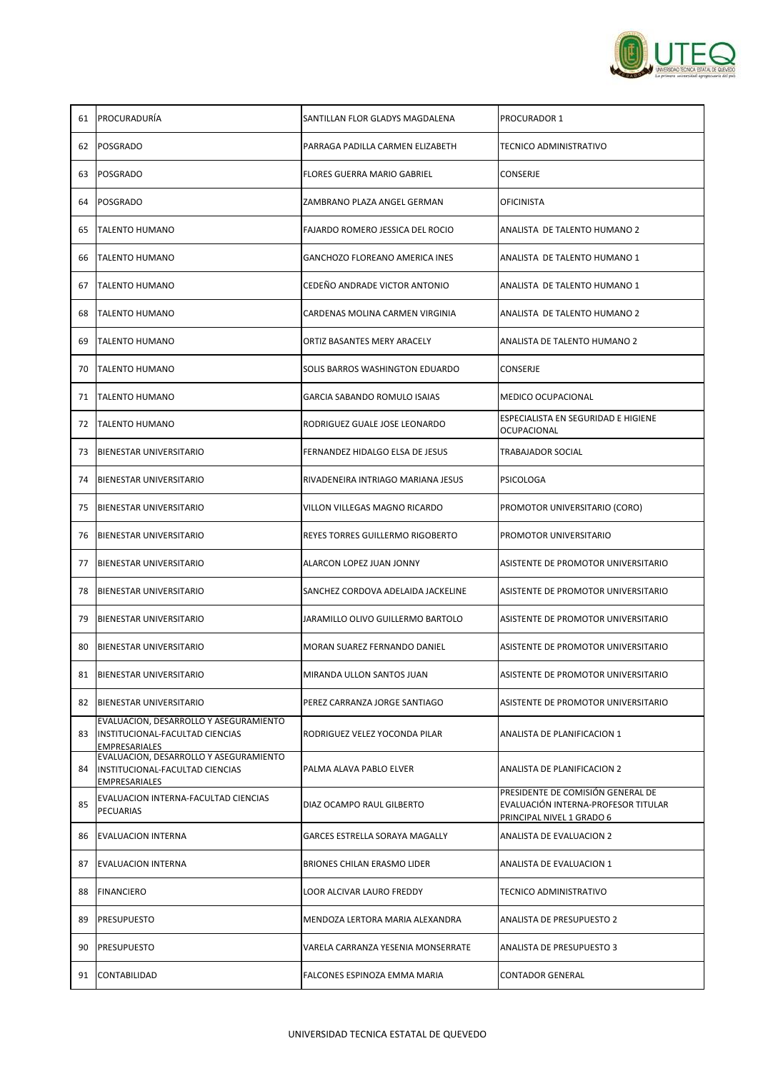

| 61  | PROCURADURÍA                                                                                      | SANTILLAN FLOR GLADYS MAGDALENA         | <b>PROCURADOR 1</b>                                                                                   |
|-----|---------------------------------------------------------------------------------------------------|-----------------------------------------|-------------------------------------------------------------------------------------------------------|
| 62  | POSGRADO                                                                                          | PARRAGA PADILLA CARMEN ELIZABETH        | <b>TECNICO ADMINISTRATIVO</b>                                                                         |
| 63  | <b>POSGRADO</b>                                                                                   | <b>FLORES GUERRA MARIO GABRIEL</b>      | <b>CONSERJE</b>                                                                                       |
| 64  | <b>POSGRADO</b>                                                                                   | ZAMBRANO PLAZA ANGEL GERMAN             | <b>OFICINISTA</b>                                                                                     |
| 65  | <b>TALENTO HUMANO</b>                                                                             | FAJARDO ROMERO JESSICA DEL ROCIO        | ANALISTA DE TALENTO HUMANO 2                                                                          |
| 66  | <b>TALENTO HUMANO</b>                                                                             | <b>GANCHOZO FLOREANO AMERICA INES</b>   | ANALISTA DE TALENTO HUMANO 1                                                                          |
| 67  | <b>TALENTO HUMANO</b>                                                                             | CEDEÑO ANDRADE VICTOR ANTONIO           | ANALISTA DE TALENTO HUMANO 1                                                                          |
| 68  | <b>ITALENTO HUMANO</b>                                                                            | CARDENAS MOLINA CARMEN VIRGINIA         | ANALISTA DE TALENTO HUMANO 2                                                                          |
| 69  | <b>TALENTO HUMANO</b>                                                                             | ORTIZ BASANTES MERY ARACELY             | ANALISTA DE TALENTO HUMANO 2                                                                          |
| 70  | <b>TALENTO HUMANO</b>                                                                             | SOLIS BARROS WASHINGTON EDUARDO         | CONSERJE                                                                                              |
| 71  | <b>TALENTO HUMANO</b>                                                                             | GARCIA SABANDO ROMULO ISAIAS            | <b>MEDICO OCUPACIONAL</b>                                                                             |
| 72  | <b>TALENTO HUMANO</b>                                                                             | RODRIGUEZ GUALE JOSE LEONARDO           | ESPECIALISTA EN SEGURIDAD E HIGIENE<br><b>OCUPACIONAL</b>                                             |
| 73  | BIENESTAR UNIVERSITARIO                                                                           | FERNANDEZ HIDALGO ELSA DE JESUS         | <b>TRABAJADOR SOCIAL</b>                                                                              |
| 74  | BIENESTAR UNIVERSITARIO                                                                           | RIVADENEIRA INTRIAGO MARIANA JESUS      | <b>PSICOLOGA</b>                                                                                      |
| 75  | BIENESTAR UNIVERSITARIO                                                                           | <b>VILLON VILLEGAS MAGNO RICARDO</b>    | PROMOTOR UNIVERSITARIO (CORO)                                                                         |
|     | 76 BIENESTAR UNIVERSITARIO                                                                        | <b>REYES TORRES GUILLERMO RIGOBERTO</b> | PROMOTOR UNIVERSITARIO                                                                                |
| 77  | <b>BIENESTAR UNIVERSITARIO</b>                                                                    | ALARCON LOPEZ JUAN JONNY                | ASISTENTE DE PROMOTOR UNIVERSITARIO                                                                   |
| 78  | <b>BIENESTAR UNIVERSITARIO</b>                                                                    | SANCHEZ CORDOVA ADELAIDA JACKELINE      | ASISTENTE DE PROMOTOR UNIVERSITARIO                                                                   |
| 79  | <b>BIENESTAR UNIVERSITARIO</b>                                                                    | JARAMILLO OLIVO GUILLERMO BARTOLO       | ASISTENTE DE PROMOTOR UNIVERSITARIO                                                                   |
| 80. | <b>BIENESTAR UNIVERSITARIO</b>                                                                    | MORAN SUAREZ FERNANDO DANIEL            | ASISTENTE DE PROMOTOR UNIVERSITARIO                                                                   |
|     | 81   BIENESTAR UNIVERSITARIO                                                                      | MIRANDA ULLON SANTOS JUAN               | ASISTENTE DE PROMOTOR UNIVERSITARIO                                                                   |
|     | 82 BIENESTAR UNIVERSITARIO                                                                        | PEREZ CARRANZA JORGE SANTIAGO           | ASISTENTE DE PROMOTOR UNIVERSITARIO                                                                   |
| 83  | EVALUACION, DESARROLLO Y ASEGURAMIENTO<br>INSTITUCIONAL-FACULTAD CIENCIAS<br><b>EMPRESARIALES</b> | RODRIGUEZ VELEZ YOCONDA PILAR           | <b>ANALISTA DE PLANIFICACION 1</b>                                                                    |
| 84  | EVALUACION, DESARROLLO Y ASEGURAMIENTO<br>INSTITUCIONAL-FACULTAD CIENCIAS<br>EMPRESARIALES        | PALMA ALAVA PABLO ELVER                 | ANALISTA DE PLANIFICACION 2                                                                           |
| 85  | EVALUACION INTERNA-FACULTAD CIENCIAS<br>PECUARIAS                                                 | DIAZ OCAMPO RAUL GILBERTO               | PRESIDENTE DE COMISIÓN GENERAL DE<br>EVALUACIÓN INTERNA-PROFESOR TITULAR<br>PRINCIPAL NIVEL 1 GRADO 6 |
| 86  | <b>EVALUACION INTERNA</b>                                                                         | <b>GARCES ESTRELLA SORAYA MAGALLY</b>   | ANALISTA DE EVALUACION 2                                                                              |
| 87  | <b>EVALUACION INTERNA</b>                                                                         | <b>BRIONES CHILAN ERASMO LIDER</b>      | ANALISTA DE EVALUACION 1                                                                              |
| 88  | FINANCIERO                                                                                        | LOOR ALCIVAR LAURO FREDDY               | <b>TECNICO ADMINISTRATIVO</b>                                                                         |
| 89  | PRESUPUESTO                                                                                       | MENDOZA LERTORA MARIA ALEXANDRA         | <b>ANALISTA DE PRESUPUESTO 2</b>                                                                      |
| 90  | PRESUPUESTO                                                                                       | VARELA CARRANZA YESENIA MONSERRATE      | ANALISTA DE PRESUPUESTO 3                                                                             |
| 91  | CONTABILIDAD                                                                                      | FALCONES ESPINOZA EMMA MARIA            | <b>CONTADOR GENERAL</b>                                                                               |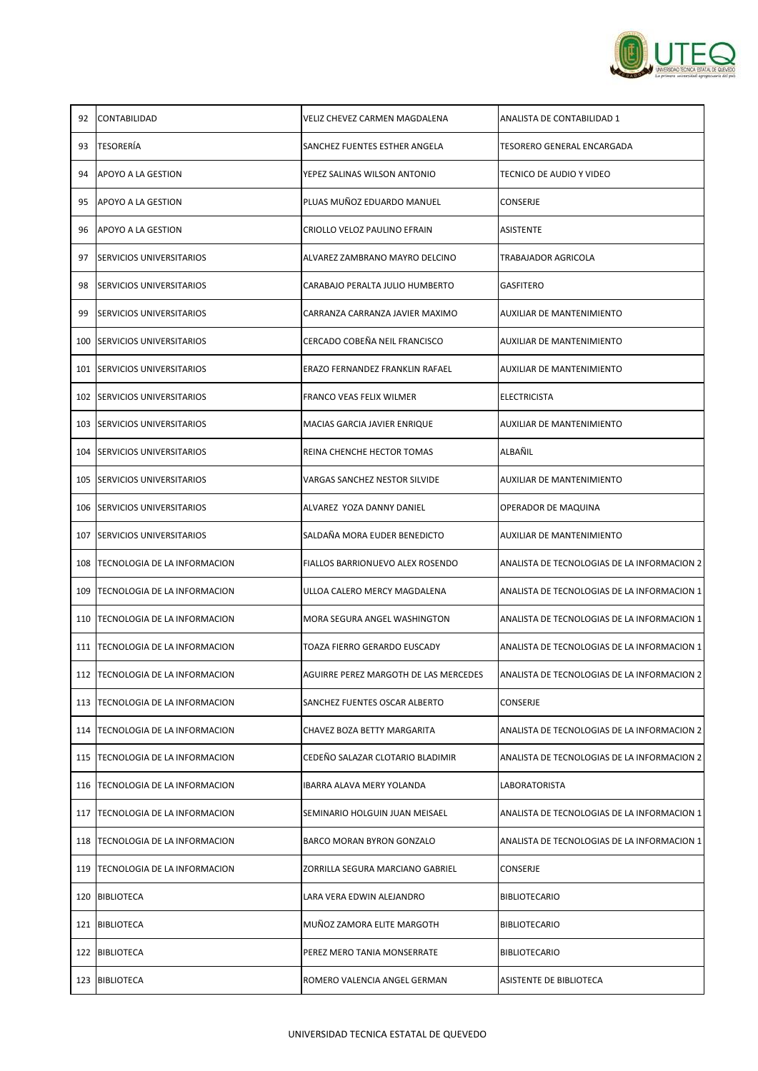

| 92  | <b>CONTABILIDAD</b>                  | VELIZ CHEVEZ CARMEN MAGDALENA           | ANALISTA DE CONTABILIDAD 1                  |
|-----|--------------------------------------|-----------------------------------------|---------------------------------------------|
| 93  | <b>TESORERÍA</b>                     | SANCHEZ FUENTES ESTHER ANGELA           | TESORERO GENERAL ENCARGADA                  |
| 94  | <b>APOYO A LA GESTION</b>            | YEPEZ SALINAS WILSON ANTONIO            | TECNICO DE AUDIO Y VIDEO                    |
| 95  | <b>APOYO A LA GESTION</b>            | PLUAS MUÑOZ EDUARDO MANUEL              | <b>CONSERJE</b>                             |
| 96  | <b>JAPOYO A LA GESTION</b>           | CRIOLLO VELOZ PAULINO EFRAIN            | <b>ASISTENTE</b>                            |
| 97  | <b>SERVICIOS UNIVERSITARIOS</b>      | ALVAREZ ZAMBRANO MAYRO DELCINO          | TRABAJADOR AGRICOLA                         |
| 98  | <b>ISERVICIOS UNIVERSITARIOS</b>     | CARABAJO PERALTA JULIO HUMBERTO         | <b>GASFITERO</b>                            |
| 99  | <b>SERVICIOS UNIVERSITARIOS</b>      | CARRANZA CARRANZA JAVIER MAXIMO         | AUXILIAR DE MANTENIMIENTO                   |
|     | 100 SERVICIOS UNIVERSITARIOS         | CERCADO COBEÑA NEIL FRANCISCO           | <b>AUXILIAR DE MANTENIMIENTO</b>            |
|     | 101 SERVICIOS UNIVERSITARIOS         | ERAZO FERNANDEZ FRANKLIN RAFAEL         | <b>AUXILIAR DE MANTENIMIENTO</b>            |
|     | 102 SERVICIOS UNIVERSITARIOS         | <b>FRANCO VEAS FELIX WILMER</b>         | <b>ELECTRICISTA</b>                         |
|     | 103 SERVICIOS UNIVERSITARIOS         | MACIAS GARCIA JAVIER ENRIQUE            | <b>AUXILIAR DE MANTENIMIENTO</b>            |
|     | 104 SERVICIOS UNIVERSITARIOS         | REINA CHENCHE HECTOR TOMAS              | ALBAÑIL                                     |
|     | 105 SERVICIOS UNIVERSITARIOS         | VARGAS SANCHEZ NESTOR SILVIDE           | AUXILIAR DE MANTENIMIENTO                   |
|     | 106 SERVICIOS UNIVERSITARIOS         | ALVAREZ YOZA DANNY DANIEL               | <b>OPERADOR DE MAQUINA</b>                  |
|     | 107 SERVICIOS UNIVERSITARIOS         | SALDAÑA MORA EUDER BENEDICTO            | <b>AUXILIAR DE MANTENIMIENTO</b>            |
|     | 108   TECNOLOGIA DE LA INFORMACION   | <b>FIALLOS BARRIONUEVO ALEX ROSENDO</b> | ANALISTA DE TECNOLOGIAS DE LA INFORMACION 2 |
| 109 | <b>ITECNOLOGIA DE LA INFORMACION</b> | ULLOA CALERO MERCY MAGDALENA            | ANALISTA DE TECNOLOGIAS DE LA INFORMACION 1 |
|     | 110   TECNOLOGIA DE LA INFORMACION   | MORA SEGURA ANGEL WASHINGTON            | ANALISTA DE TECNOLOGIAS DE LA INFORMACION 1 |
|     | 111   TECNOLOGIA DE LA INFORMACION   | TOAZA FIERRO GERARDO EUSCADY            | ANALISTA DE TECNOLOGIAS DE LA INFORMACION 1 |
|     | 112   TECNOLOGIA DE LA INFORMACION   | AGUIRRE PEREZ MARGOTH DE LAS MERCEDES   | ANALISTA DE TECNOLOGIAS DE LA INFORMACION 2 |
|     | 113   TECNOLOGIA DE LA INFORMACION   | <b>SANCHEZ FUENTES OSCAR ALBERTO</b>    | <b>CONSERJE</b>                             |
|     | 114   TECNOLOGIA DE LA INFORMACION   | CHAVEZ BOZA BETTY MARGARITA             | ANALISTA DE TECNOLOGIAS DE LA INFORMACION 2 |
|     | 115   TECNOLOGIA DE LA INFORMACION   | CEDEÑO SALAZAR CLOTARIO BLADIMIR        | ANALISTA DE TECNOLOGIAS DE LA INFORMACION 2 |
|     | 116   TECNOLOGIA DE LA INFORMACION   | <b>IBARRA ALAVA MERY YOLANDA</b>        | <b>LABORATORISTA</b>                        |
| 117 | <b>TECNOLOGIA DE LA INFORMACION</b>  | SEMINARIO HOLGUIN JUAN MEISAEL          | ANALISTA DE TECNOLOGIAS DE LA INFORMACION 1 |
|     | 118   TECNOLOGIA DE LA INFORMACION   | <b>BARCO MORAN BYRON GONZALO</b>        | ANALISTA DE TECNOLOGIAS DE LA INFORMACION 1 |
|     | 119   TECNOLOGIA DE LA INFORMACION   | ZORRILLA SEGURA MARCIANO GABRIEL        | <b>CONSERJE</b>                             |
|     | 120 BIBLIOTECA                       | LARA VERA EDWIN ALEJANDRO               | <b>BIBLIOTECARIO</b>                        |
|     | 121 BIBLIOTECA                       | MUÑOZ ZAMORA ELITE MARGOTH              | <b>BIBLIOTECARIO</b>                        |
|     | 122 BIBLIOTECA                       | PEREZ MERO TANIA MONSERRATE             | <b>BIBLIOTECARIO</b>                        |
|     | 123 BIBLIOTECA                       | ROMERO VALENCIA ANGEL GERMAN            | <b>ASISTENTE DE BIBLIOTECA</b>              |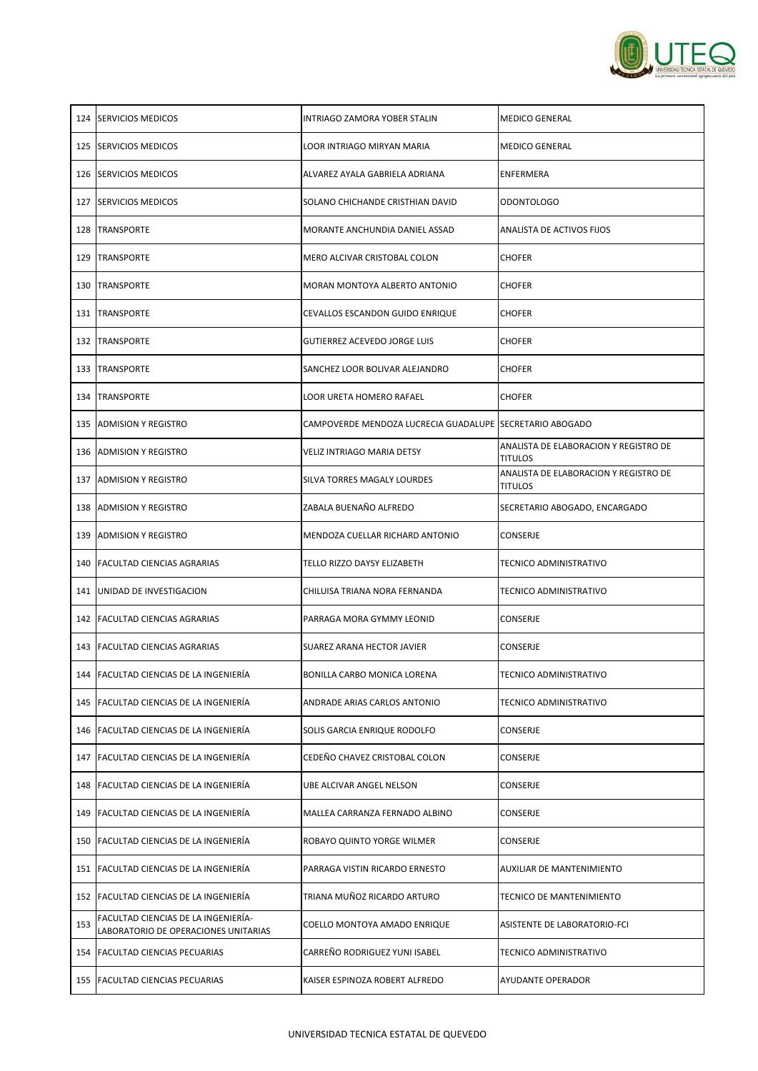

|     | 124 SERVICIOS MEDICOS                                                       | INTRIAGO ZAMORA YOBER STALIN                             | <b>MEDICO GENERAL</b>                                   |
|-----|-----------------------------------------------------------------------------|----------------------------------------------------------|---------------------------------------------------------|
|     | 125 SERVICIOS MEDICOS                                                       | LOOR INTRIAGO MIRYAN MARIA                               | <b>MEDICO GENERAL</b>                                   |
|     | 126 ISERVICIOS MEDICOS                                                      | ALVAREZ AYALA GABRIELA ADRIANA                           | ENFERMERA                                               |
| 127 | <b>ISERVICIOS MEDICOS</b>                                                   | SOLANO CHICHANDE CRISTHIAN DAVID                         | ODONTOLOGO                                              |
| 128 | <b>TRANSPORTE</b>                                                           | MORANTE ANCHUNDIA DANIEL ASSAD                           | ANALISTA DE ACTIVOS FIJOS                               |
| 129 | <b>TRANSPORTE</b>                                                           | MERO ALCIVAR CRISTOBAL COLON                             | <b>CHOFER</b>                                           |
|     | <b>130  TRANSPORTE</b>                                                      | IMORAN MONTOYA ALBERTO ANTONIO                           | <b>CHOFER</b>                                           |
|     | 131  TRANSPORTE                                                             | CEVALLOS ESCANDON GUIDO ENRIQUE                          | <b>CHOFER</b>                                           |
|     | 132 TRANSPORTE                                                              | <b>GUTIERREZ ACEVEDO JORGE LUIS</b>                      | <b>CHOFER</b>                                           |
|     | <b>133 ITRANSPORTE</b>                                                      | ISANCHEZ LOOR BOLIVAR ALEJANDRO                          | <b>CHOFER</b>                                           |
|     | 134 TRANSPORTE                                                              | LOOR URETA HOMERO RAFAEL                                 | <b>CHOFER</b>                                           |
|     | 135 ADMISION Y REGISTRO                                                     | CAMPOVERDE MENDOZA LUCRECIA GUADALUPE SECRETARIO ABOGADO |                                                         |
|     | 136 ADMISION Y REGISTRO                                                     | <b>VELIZ INTRIAGO MARIA DETSY</b>                        | ANALISTA DE ELABORACION Y REGISTRO DE<br><b>TITULOS</b> |
|     | 137 ADMISION Y REGISTRO                                                     | SILVA TORRES MAGALY LOURDES                              | ANALISTA DE ELABORACION Y REGISTRO DE<br><b>TITULOS</b> |
|     | 138 ADMISION Y REGISTRO                                                     | ZABALA BUENAÑO ALFREDO                                   | SECRETARIO ABOGADO, ENCARGADO                           |
|     | 139 ADMISION Y REGISTRO                                                     | MENDOZA CUELLAR RICHARD ANTONIO                          | <b>CONSERJE</b>                                         |
|     | 140 FACULTAD CIENCIAS AGRARIAS                                              | <b>TELLO RIZZO DAYSY ELIZABETH</b>                       | <b>TECNICO ADMINISTRATIVO</b>                           |
| 141 | <b>JUNIDAD DE INVESTIGACION</b>                                             | CHILUISA TRIANA NORA FERNANDA                            | <b>TECNICO ADMINISTRATIVO</b>                           |
|     | 142   FACULTAD CIENCIAS AGRARIAS                                            | PARRAGA MORA GYMMY LEONID                                | <b>CONSERJE</b>                                         |
|     | 143   FACULTAD CIENCIAS AGRARIAS                                            | <b>SUAREZ ARANA HECTOR JAVIER</b>                        | <b>CONSERJE</b>                                         |
|     | 144 FACULTAD CIENCIAS DE LA INGENIERÍA                                      | <b>BONILLA CARBO MONICA LORENA</b>                       | TECNICO ADMINISTRATIVO                                  |
|     | 145 FACULTAD CIENCIAS DE LA INGENIERÍA                                      | ANDRADE ARIAS CARLOS ANTONIO                             | <b>TECNICO ADMINISTRATIVO</b>                           |
|     | 146 FACULTAD CIENCIAS DE LA INGENIERÍA                                      | SOLIS GARCIA ENRIQUE RODOLFO                             | <b>CONSERJE</b>                                         |
| 147 | <b>FACULTAD CIENCIAS DE LA INGENIERÍA</b>                                   | CEDEÑO CHAVEZ CRISTOBAL COLON                            | <b>CONSERJE</b>                                         |
|     | 148 FACULTAD CIENCIAS DE LA INGENIERÍA                                      | UBE ALCIVAR ANGEL NELSON                                 | <b>CONSERJE</b>                                         |
|     | 149 FACULTAD CIENCIAS DE LA INGENIERÍA                                      | MALLEA CARRANZA FERNADO ALBINO                           | <b>CONSERJE</b>                                         |
|     | 150 FACULTAD CIENCIAS DE LA INGENIERÍA                                      | ROBAYO QUINTO YORGE WILMER                               | <b>CONSERJE</b>                                         |
|     | 151 FACULTAD CIENCIAS DE LA INGENIERÍA                                      | PARRAGA VISTIN RICARDO ERNESTO                           | <b>AUXILIAR DE MANTENIMIENTO</b>                        |
|     | 152 FACULTAD CIENCIAS DE LA INGENIERÍA                                      | TRIANA MUÑOZ RICARDO ARTURO                              | <b>TECNICO DE MANTENIMIENTO</b>                         |
| 153 | FACULTAD CIENCIAS DE LA INGENIERÍA-<br>LABORATORIO DE OPERACIONES UNITARIAS | COELLO MONTOYA AMADO ENRIQUE                             | <b>ASISTENTE DE LABORATORIO-FCI</b>                     |
|     | 154   FACULTAD CIENCIAS PECUARIAS                                           | CARREÑO RODRIGUEZ YUNI ISABEL                            | <b>TECNICO ADMINISTRATIVO</b>                           |
| 155 | <b>FACULTAD CIENCIAS PECUARIAS</b>                                          | KAISER ESPINOZA ROBERT ALFREDO                           | <b>AYUDANTE OPERADOR</b>                                |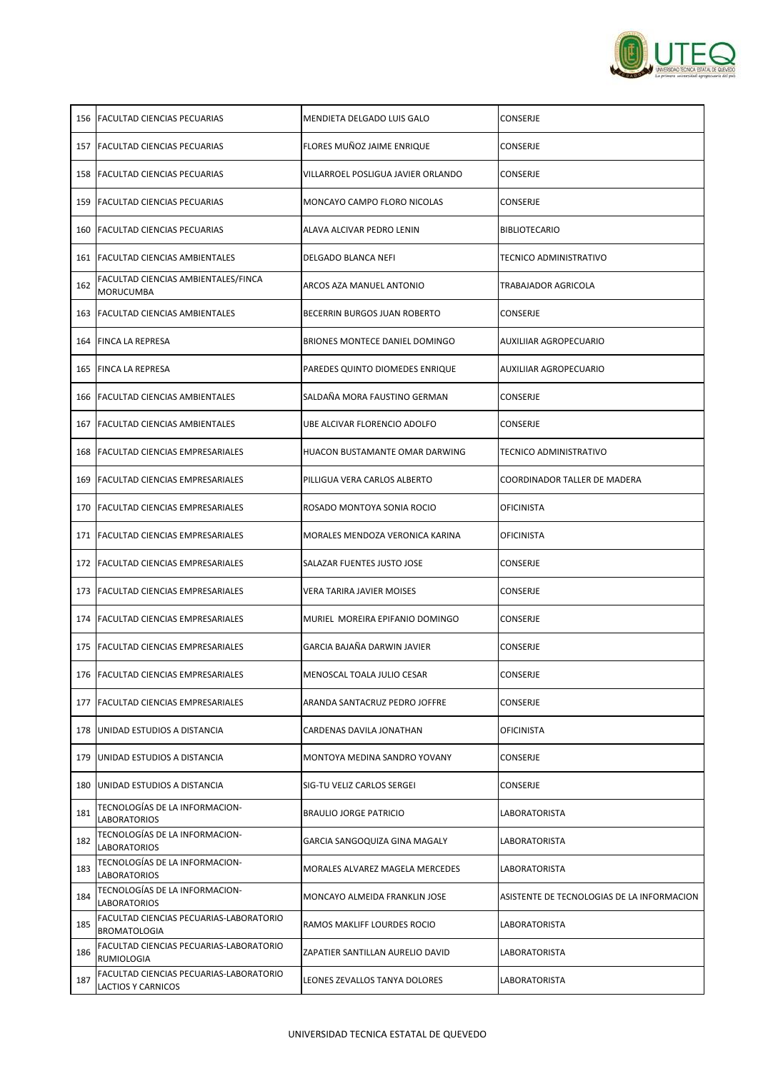

|     | 156   FACULTAD CIENCIAS PECUARIAS                                           | MENDIETA DELGADO LUIS GALO             | <b>CONSERJE</b>                            |
|-----|-----------------------------------------------------------------------------|----------------------------------------|--------------------------------------------|
|     | 157   FACULTAD CIENCIAS PECUARIAS                                           | FLORES MUÑOZ JAIME ENRIQUE             | CONSERJE                                   |
|     | 158 FACULTAD CIENCIAS PECUARIAS                                             | VILLARROEL POSLIGUA JAVIER ORLANDO     | <b>CONSERJE</b>                            |
|     | 159 FACULTAD CIENCIAS PECUARIAS                                             | <b>MONCAYO CAMPO FLORO NICOLAS</b>     | <b>CONSERJE</b>                            |
|     | 160 FACULTAD CIENCIAS PECUARIAS                                             | ALAVA ALCIVAR PEDRO LENIN              | <b>BIBLIOTECARIO</b>                       |
|     | 161   FACULTAD CIENCIAS AMBIENTALES                                         | <b>DELGADO BLANCA NEFI</b>             | TECNICO ADMINISTRATIVO                     |
| 162 | FACULTAD CIENCIAS AMBIENTALES/FINCA<br><b>MORUCUMBA</b>                     | ARCOS AZA MANUEL ANTONIO               | TRABAJADOR AGRICOLA                        |
|     | 163 FACULTAD CIENCIAS AMBIENTALES                                           | <b>BECERRIN BURGOS JUAN ROBERTO</b>    | <b>CONSERJE</b>                            |
|     | 164 FINCA LA REPRESA                                                        | <b>BRIONES MONTECE DANIEL DOMINGO</b>  | AUXILIIAR AGROPECUARIO                     |
|     | 165 FINCA LA REPRESA                                                        | PAREDES QUINTO DIOMEDES ENRIQUE        | <b>AUXILIIAR AGROPECUARIO</b>              |
|     | 166 IFACULTAD CIENCIAS AMBIENTALES                                          | SALDAÑA MORA FAUSTINO GERMAN           | CONSERJE                                   |
|     | 167 FACULTAD CIENCIAS AMBIENTALES                                           | UBE ALCIVAR FLORENCIO ADOLFO           | <b>CONSERJE</b>                            |
|     | 168   FACULTAD CIENCIAS EMPRESARIALES                                       | HUACON BUSTAMANTE OMAR DARWING         | TECNICO ADMINISTRATIVO                     |
|     | 169   FACULTAD CIENCIAS EMPRESARIALES                                       | PILLIGUA VERA CARLOS ALBERTO           | COORDINADOR TALLER DE MADERA               |
|     | 170 <b>IFACULTAD CIENCIAS EMPRESARIALES</b>                                 | ROSADO MONTOYA SONIA ROCIO             | <b>OFICINISTA</b>                          |
|     | 171   FACULTAD CIENCIAS EMPRESARIALES                                       | MORALES MENDOZA VERONICA KARINA        | <b>OFICINISTA</b>                          |
|     | 172   FACULTAD CIENCIAS EMPRESARIALES                                       | SALAZAR FUENTES JUSTO JOSE             | <b>CONSERJE</b>                            |
|     | 173   FACULTAD CIENCIAS EMPRESARIALES                                       | <b>VERA TARIRA JAVIER MOISES</b>       | CONSERJE                                   |
|     | 174   FACULTAD CIENCIAS EMPRESARIALES                                       | MURIEL MOREIRA EPIFANIO DOMINGO        | <b>CONSERJE</b>                            |
|     | 175   FACULTAD CIENCIAS EMPRESARIALES                                       | GARCIA BAJAÑA DARWIN JAVIER            | <b>CONSERJE</b>                            |
|     | 176   FACULTAD CIENCIAS EMPRESARIALES                                       | MENOSCAL TOALA JULIO CESAR             | <b>CONSERJE</b>                            |
|     | 177   FACULTAD CIENCIAS EMPRESARIALES                                       | ARANDA SANTACRUZ PEDRO JOFFRE          | <b>CONSERJE</b>                            |
|     | 178 JUNIDAD ESTUDIOS A DISTANCIA                                            | CARDENAS DAVILA JONATHAN               | OFICINISTA                                 |
| 179 | <b>JUNIDAD ESTUDIOS A DISTANCIA</b>                                         | MONTOYA MEDINA SANDRO YOVANY           | <b>CONSERJE</b>                            |
|     | 180 JUNIDAD ESTUDIOS A DISTANCIA                                            | SIG-TU VELIZ CARLOS SERGEI             | <b>CONSERJE</b>                            |
| 181 | TECNOLOGÍAS DE LA INFORMACION-<br><b>LABORATORIOS</b>                       | <b>BRAULIO JORGE PATRICIO</b>          | LABORATORISTA                              |
| 182 | TECNOLOGÍAS DE LA INFORMACION-<br><b>LABORATORIOS</b>                       | GARCIA SANGOQUIZA GINA MAGALY          | LABORATORISTA                              |
| 183 | TECNOLOGÍAS DE LA INFORMACION-<br><b>LABORATORIOS</b>                       | <b>MORALES ALVAREZ MAGELA MERCEDES</b> | <b>LABORATORISTA</b>                       |
| 184 | TECNOLOGÍAS DE LA INFORMACION-<br><b>LABORATORIOS</b>                       | MONCAYO ALMEIDA FRANKLIN JOSE          | ASISTENTE DE TECNOLOGIAS DE LA INFORMACION |
| 185 | FACULTAD CIENCIAS PECUARIAS-LABORATORIO<br><b>BROMATOLOGIA</b>              | RAMOS MAKLIFF LOURDES ROCIO            | <b>LABORATORISTA</b>                       |
| 186 | FACULTAD CIENCIAS PECUARIAS-LABORATORIO<br>RUMIOLOGIA                       | ZAPATIER SANTILLAN AURELIO DAVID       | <b>LABORATORISTA</b>                       |
| 187 | <b>FACULTAD CIENCIAS PECUARIAS-LABORATORIO</b><br><b>LACTIOS Y CARNICOS</b> | LEONES ZEVALLOS TANYA DOLORES          | LABORATORISTA                              |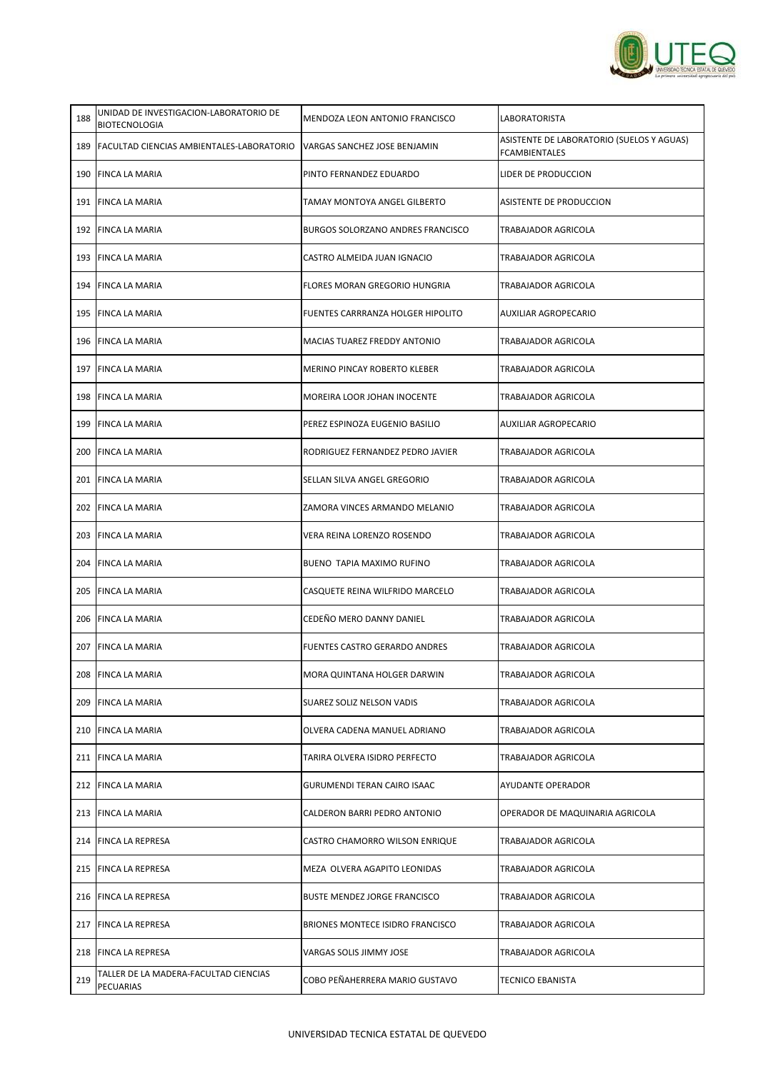

| 188 | UNIDAD DE INVESTIGACION-LABORATORIO DE<br><b>BIOTECNOLOGIA</b> | IMENDOZA LEON ANTONIO FRANCISCO          | LABORATORISTA                                                     |
|-----|----------------------------------------------------------------|------------------------------------------|-------------------------------------------------------------------|
|     | 189   FACULTAD CIENCIAS AMBIENTALES-LABORATORIO                | VARGAS SANCHEZ JOSE BENJAMIN             | ASISTENTE DE LABORATORIO (SUELOS Y AGUAS)<br><b>FCAMBIENTALES</b> |
|     | 190 FINCA LA MARIA                                             | PINTO FERNANDEZ EDUARDO                  | LIDER DE PRODUCCION                                               |
|     | 191 FINCA LA MARIA                                             | TAMAY MONTOYA ANGEL GILBERTO             | <b>ASISTENTE DE PRODUCCION</b>                                    |
|     | 192 FINCA LA MARIA                                             | <b>BURGOS SOLORZANO ANDRES FRANCISCO</b> | <b>TRABAJADOR AGRICOLA</b>                                        |
|     | 193 FINCA LA MARIA                                             | CASTRO ALMEIDA JUAN IGNACIO              | <b>TRABAJADOR AGRICOLA</b>                                        |
|     | 194 IFINCA LA MARIA                                            | FLORES MORAN GREGORIO HUNGRIA            | TRABAJADOR AGRICOLA                                               |
|     | 195 FINCA LA MARIA                                             | <b>FUENTES CARRRANZA HOLGER HIPOLITO</b> | <b>AUXILIAR AGROPECARIO</b>                                       |
|     | 196 FINCA LA MARIA                                             | MACIAS TUAREZ FREDDY ANTONIO             | <b>TRABAJADOR AGRICOLA</b>                                        |
|     | 197 FINCA LA MARIA                                             | <b>MERINO PINCAY ROBERTO KLEBER</b>      | <b>TRABAJADOR AGRICOLA</b>                                        |
|     | 198 IFINCA LA MARIA                                            | <b>MOREIRA LOOR JOHAN INOCENTE</b>       | <b>TRABAJADOR AGRICOLA</b>                                        |
|     | 199 FINCA LA MARIA                                             | PEREZ ESPINOZA EUGENIO BASILIO           | <b>AUXILIAR AGROPECARIO</b>                                       |
|     | 200 FINCA LA MARIA                                             | RODRIGUEZ FERNANDEZ PEDRO JAVIER         | <b>TRABAJADOR AGRICOLA</b>                                        |
|     | 201 FINCA LA MARIA                                             | SELLAN SILVA ANGEL GREGORIO              | <b>TRABAJADOR AGRICOLA</b>                                        |
|     | 202 FINCA LA MARIA                                             | ZAMORA VINCES ARMANDO MELANIO            | <b>TRABAJADOR AGRICOLA</b>                                        |
|     | 203 FINCA LA MARIA                                             | VERA REINA LORENZO ROSENDO               | <b>TRABAJADOR AGRICOLA</b>                                        |
|     | 204 FINCA LA MARIA                                             | <b>BUENO TAPIA MAXIMO RUFINO</b>         | TRABAJADOR AGRICOLA                                               |
|     | 205 FINCA LA MARIA                                             | CASQUETE REINA WILFRIDO MARCELO          | <b>TRABAJADOR AGRICOLA</b>                                        |
|     | 206 FINCA LA MARIA                                             | CEDEÑO MERO DANNY DANIEL                 | <b>TRABAJADOR AGRICOLA</b>                                        |
|     | 207 FINCA LA MARIA                                             | <b>FUENTES CASTRO GERARDO ANDRES</b>     | <b>TRABAJADOR AGRICOLA</b>                                        |
|     | 208 FINCA LA MARIA                                             | MORA QUINTANA HOLGER DARWIN              | TRABAJADOR AGRICOLA                                               |
|     | 209 FINCA LA MARIA                                             | <b>SUAREZ SOLIZ NELSON VADIS</b>         | <b>TRABAJADOR AGRICOLA</b>                                        |
|     | 210 FINCA LA MARIA                                             | OLVERA CADENA MANUEL ADRIANO             | <b>TRABAJADOR AGRICOLA</b>                                        |
|     | 211 FINCA LA MARIA                                             | TARIRA OLVERA ISIDRO PERFECTO            | TRABAJADOR AGRICOLA                                               |
|     | 212 FINCA LA MARIA                                             | <b>GURUMENDI TERAN CAIRO ISAAC</b>       | <b>AYUDANTE OPERADOR</b>                                          |
|     | 213 FINCA LA MARIA                                             | CALDERON BARRI PEDRO ANTONIO             | OPERADOR DE MAQUINARIA AGRICOLA                                   |
|     | 214 FINCA LA REPRESA                                           | CASTRO CHAMORRO WILSON ENRIQUE           | <b>TRABAJADOR AGRICOLA</b>                                        |
|     | 215 FINCA LA REPRESA                                           | MEZA OLVERA AGAPITO LEONIDAS             | <b>TRABAJADOR AGRICOLA</b>                                        |
|     | 216 FINCA LA REPRESA                                           | <b>BUSTE MENDEZ JORGE FRANCISCO</b>      | <b>TRABAJADOR AGRICOLA</b>                                        |
|     | 217 FINCA LA REPRESA                                           | BRIONES MONTECE ISIDRO FRANCISCO         | <b>TRABAJADOR AGRICOLA</b>                                        |
|     | 218 FINCA LA REPRESA                                           | VARGAS SOLIS JIMMY JOSE                  | <b>TRABAJADOR AGRICOLA</b>                                        |
| 219 | TALLER DE LA MADERA-FACULTAD CIENCIAS<br><b>PECUARIAS</b>      | COBO PEÑAHERRERA MARIO GUSTAVO           | <b>TECNICO EBANISTA</b>                                           |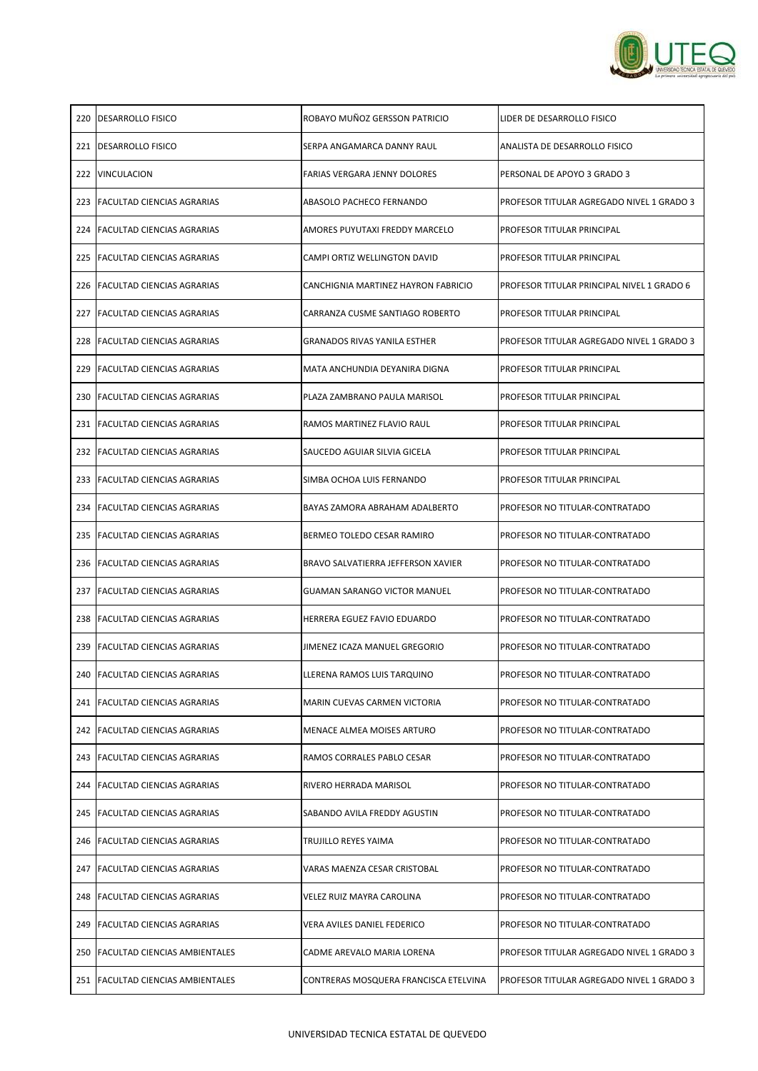

| 220 <b>IDESARROLLO FISICO</b>     | ROBAYO MUÑOZ GERSSON PATRICIO             | LIDER DE DESARROLLO FISICO                        |
|-----------------------------------|-------------------------------------------|---------------------------------------------------|
| 221 <b>IDESARROLLO FISICO</b>     | SERPA ANGAMARCA DANNY RAUL                | ANALISTA DE DESARROLLO FISICO                     |
| 222   VINCULACION                 | FARIAS VERGARA JENNY DOLORES              | PERSONAL DE APOYO 3 GRADO 3                       |
| 223 IFACULTAD CIENCIAS AGRARIAS   | ABASOLO PACHECO FERNANDO                  | PROFESOR TITULAR AGREGADO NIVEL 1 GRADO 3         |
| 224 FACULTAD CIENCIAS AGRARIAS    | AMORES PUYUTAXI FREDDY MARCELO            | <b>PROFESOR TITULAR PRINCIPAL</b>                 |
| 225 FACULTAD CIENCIAS AGRARIAS    | CAMPI ORTIZ WELLINGTON DAVID              | <b>PROFESOR TITULAR PRINCIPAL</b>                 |
| 226 IFACULTAD CIENCIAS AGRARIAS   | CANCHIGNIA MARTINEZ HAYRON FABRICIO       | <b>PROFESOR TITULAR PRINCIPAL NIVEL 1 GRADO 6</b> |
| 227 FACULTAD CIENCIAS AGRARIAS    | CARRANZA CUSME SANTIAGO ROBERTO           | <b>PROFESOR TITULAR PRINCIPAL</b>                 |
| 228 FACULTAD CIENCIAS AGRARIAS    | GRANADOS RIVAS YANILA ESTHER              | PROFESOR TITULAR AGREGADO NIVEL 1 GRADO 3         |
| 229 IFACULTAD CIENCIAS AGRARIAS   | MATA ANCHUNDIA DEYANIRA DIGNA             | <b>PROFESOR TITULAR PRINCIPAL</b>                 |
| 230 FACULTAD CIENCIAS AGRARIAS    | PLAZA ZAMBRANO PAULA MARISOL              | PROFESOR TITULAR PRINCIPAL                        |
| 231 FACULTAD CIENCIAS AGRARIAS    | RAMOS MARTINEZ FLAVIO RAUL                | <b>PROFESOR TITULAR PRINCIPAL</b>                 |
| 232 FACULTAD CIENCIAS AGRARIAS    | SAUCEDO AGUIAR SILVIA GICELA              | <b>PROFESOR TITULAR PRINCIPAL</b>                 |
| 233 IFACULTAD CIENCIAS AGRARIAS   | SIMBA OCHOA LUIS FERNANDO                 | <b>PROFESOR TITULAR PRINCIPAL</b>                 |
| 234 FACULTAD CIENCIAS AGRARIAS    | BAYAS ZAMORA ABRAHAM ADALBERTO            | <b>PROFESOR NO TITULAR-CONTRATADO</b>             |
| 235 TFACULTAD CIENCIAS AGRARIAS   | BERMEO TOLEDO CESAR RAMIRO                | PROFESOR NO TITULAR-CONTRATADO                    |
| 236   FACULTAD CIENCIAS AGRARIAS  | <b>BRAVO SALVATIERRA JEFFERSON XAVIER</b> | PROFESOR NO TITULAR-CONTRATADO                    |
| 237   FACULTAD CIENCIAS AGRARIAS  | GUAMAN SARANGO VICTOR MANUEL              | PROFESOR NO TITULAR-CONTRATADO                    |
| 238 FACULTAD CIENCIAS AGRARIAS    | HERRERA EGUEZ FAVIO EDUARDO               | PROFESOR NO TITULAR-CONTRATADO                    |
| 239 FACULTAD CIENCIAS AGRARIAS    | JIMENEZ ICAZA MANUEL GREGORIO             | PROFESOR NO TITULAR-CONTRATADO                    |
| 240 FACULTAD CIENCIAS AGRARIAS    | LLERENA RAMOS LUIS TARQUINO               | PROFESOR NO TITULAR-CONTRATADO                    |
| 241   FACULTAD CIENCIAS AGRARIAS  | MARIN CUEVAS CARMEN VICTORIA              | PROFESOR NO TITULAR-CONTRATADO                    |
| 242 IFACULTAD CIENCIAS AGRARIAS   | MENACE ALMEA MOISES ARTURO                | <b>PROFESOR NO TITULAR-CONTRATADO</b>             |
| 243 IFACULTAD CIENCIAS AGRARIAS   | RAMOS CORRALES PABLO CESAR                | PROFESOR NO TITULAR-CONTRATADO                    |
| 244   FACULTAD CIENCIAS AGRARIAS  | RIVERO HERRADA MARISOL                    | PROFESOR NO TITULAR-CONTRATADO                    |
| 245   FACULTAD CIENCIAS AGRARIAS  | SABANDO AVILA FREDDY AGUSTIN              | PROFESOR NO TITULAR-CONTRATADO                    |
| 246   FACULTAD CIENCIAS AGRARIAS  | TRUJILLO REYES YAIMA                      | PROFESOR NO TITULAR-CONTRATADO                    |
| 247   FACULTAD CIENCIAS AGRARIAS  | VARAS MAENZA CESAR CRISTOBAL              | PROFESOR NO TITULAR-CONTRATADO                    |
| 248   FACULTAD CIENCIAS AGRARIAS  | VELEZ RUIZ MAYRA CAROLINA                 | PROFESOR NO TITULAR-CONTRATADO                    |
| 249   FACULTAD CIENCIAS AGRARIAS  | <b>VERA AVILES DANIEL FEDERICO</b>        | <b>PROFESOR NO TITULAR-CONTRATADO</b>             |
| 250 FACULTAD CIENCIAS AMBIENTALES | CADME AREVALO MARIA LORENA                | PROFESOR TITULAR AGREGADO NIVEL 1 GRADO 3         |
| 251 FACULTAD CIENCIAS AMBIENTALES | CONTRERAS MOSQUERA FRANCISCA ETELVINA     | PROFESOR TITULAR AGREGADO NIVEL 1 GRADO 3         |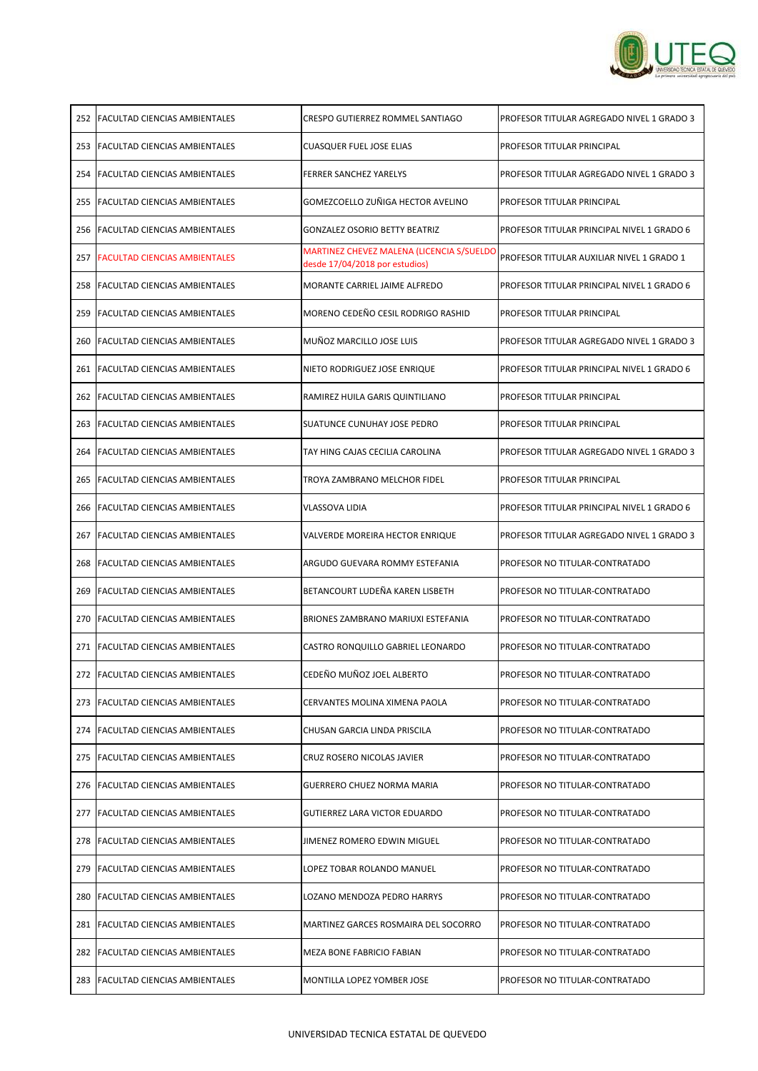

| 252 | <b>IFACULTAD CIENCIAS AMBIENTALES</b> | CRESPO GUTIERREZ ROMMEL SANTIAGO                                            | PROFESOR TITULAR AGREGADO NIVEL 1 GRADO 3  |
|-----|---------------------------------------|-----------------------------------------------------------------------------|--------------------------------------------|
| 253 | <b>FACULTAD CIENCIAS AMBIENTALES</b>  | <b>CUASQUER FUEL JOSE ELIAS</b>                                             | PROFESOR TITULAR PRINCIPAL                 |
| 254 | <b>FACULTAD CIENCIAS AMBIENTALES</b>  | <b>FERRER SANCHEZ YARELYS</b>                                               | PROFESOR TITULAR AGREGADO NIVEL 1 GRADO 3  |
| 255 | <b>FACULTAD CIENCIAS AMBIENTALES</b>  | GOMEZCOELLO ZUÑIGA HECTOR AVELINO                                           | PROFESOR TITULAR PRINCIPAL                 |
| 256 | <b>IFACULTAD CIENCIAS AMBIENTALES</b> | <b>GONZALEZ OSORIO BETTY BEATRIZ</b>                                        | PROFESOR TITULAR PRINCIPAL NIVEL 1 GRADO 6 |
| 257 | <b>FACULTAD CIENCIAS AMBIENTALES</b>  | MARTINEZ CHEVEZ MALENA (LICENCIA S/SUELDO<br>desde 17/04/2018 por estudios) | PROFESOR TITULAR AUXILIAR NIVEL 1 GRADO 1  |
| 258 | <b>IFACULTAD CIENCIAS AMBIENTALES</b> | MORANTE CARRIEL JAIME ALFREDO                                               | PROFESOR TITULAR PRINCIPAL NIVEL 1 GRADO 6 |
| 259 | <b>IFACULTAD CIENCIAS AMBIENTALES</b> | MORENO CEDEÑO CESIL RODRIGO RASHID                                          | PROFESOR TITULAR PRINCIPAL                 |
| 260 | <b>FACULTAD CIENCIAS AMBIENTALES</b>  | <b>MUÑOZ MARCILLO JOSE LUIS</b>                                             | PROFESOR TITULAR AGREGADO NIVEL 1 GRADO 3  |
| 261 | <b>IFACULTAD CIENCIAS AMBIENTALES</b> | NIETO RODRIGUEZ JOSE ENRIQUE                                                | PROFESOR TITULAR PRINCIPAL NIVEL 1 GRADO 6 |
| 262 | <b>FACULTAD CIENCIAS AMBIENTALES</b>  | RAMIREZ HUILA GARIS QUINTILIANO                                             | PROFESOR TITULAR PRINCIPAL                 |
| 263 | <b>FACULTAD CIENCIAS AMBIENTALES</b>  | SUATUNCE CUNUHAY JOSE PEDRO                                                 | PROFESOR TITULAR PRINCIPAL                 |
| 264 | <b>FACULTAD CIENCIAS AMBIENTALES</b>  | TAY HING CAJAS CECILIA CAROLINA                                             | PROFESOR TITULAR AGREGADO NIVEL 1 GRADO 3  |
| 265 | <b>FACULTAD CIENCIAS AMBIENTALES</b>  | TROYA ZAMBRANO MELCHOR FIDEL                                                | PROFESOR TITULAR PRINCIPAL                 |
| 266 | <b>IFACULTAD CIENCIAS AMBIENTALES</b> | <b>VLASSOVA LIDIA</b>                                                       | PROFESOR TITULAR PRINCIPAL NIVEL 1 GRADO 6 |
|     | 267 FACULTAD CIENCIAS AMBIENTALES     | VALVERDE MOREIRA HECTOR ENRIQUE                                             | PROFESOR TITULAR AGREGADO NIVEL 1 GRADO 3  |
|     | 268   FACULTAD CIENCIAS AMBIENTALES   | ARGUDO GUEVARA ROMMY ESTEFANIA                                              | PROFESOR NO TITULAR-CONTRATADO             |
| 269 | <b>IFACULTAD CIENCIAS AMBIENTALES</b> | BETANCOURT LUDEÑA KAREN LISBETH                                             | PROFESOR NO TITULAR-CONTRATADO             |
|     | 270 IFACULTAD CIENCIAS AMBIENTALES    | <b>BRIONES ZAMBRANO MARIUXI ESTEFANIA</b>                                   | PROFESOR NO TITULAR-CONTRATADO             |
|     | 271 IFACULTAD CIENCIAS AMBIENTALES    | CASTRO RONQUILLO GABRIEL LEONARDO                                           | PROFESOR NO TITULAR-CONTRATADO             |
|     | 272 IFACULTAD CIENCIAS AMBIENTALES    | CEDEÑO MUÑOZ JOEL ALBERTO                                                   | PROFESOR NO TITULAR-CONTRATADO             |
| 273 | <b>FACULTAD CIENCIAS AMBIENTALES</b>  | CERVANTES MOLINA XIMENA PAOLA                                               | PROFESOR NO TITULAR-CONTRATADO             |
| 274 | <b>FACULTAD CIENCIAS AMBIENTALES</b>  | CHUSAN GARCIA LINDA PRISCILA                                                | PROFESOR NO TITULAR-CONTRATADO             |
| 275 | <b>FACULTAD CIENCIAS AMBIENTALES</b>  | CRUZ ROSERO NICOLAS JAVIER                                                  | PROFESOR NO TITULAR-CONTRATADO             |
|     | 276 FACULTAD CIENCIAS AMBIENTALES     | <b>GUERRERO CHUEZ NORMA MARIA</b>                                           | PROFESOR NO TITULAR-CONTRATADO             |
|     | 277   FACULTAD CIENCIAS AMBIENTALES   | <b>GUTIERREZ LARA VICTOR EDUARDO</b>                                        | PROFESOR NO TITULAR-CONTRATADO             |
|     | 278 FACULTAD CIENCIAS AMBIENTALES     | JIMENEZ ROMERO EDWIN MIGUEL                                                 | PROFESOR NO TITULAR-CONTRATADO             |
| 279 | <b>FACULTAD CIENCIAS AMBIENTALES</b>  | LOPEZ TOBAR ROLANDO MANUEL                                                  | PROFESOR NO TITULAR-CONTRATADO             |
| 280 | <b>FACULTAD CIENCIAS AMBIENTALES</b>  | LOZANO MENDOZA PEDRO HARRYS                                                 | PROFESOR NO TITULAR-CONTRATADO             |
|     | 281   FACULTAD CIENCIAS AMBIENTALES   | MARTINEZ GARCES ROSMAIRA DEL SOCORRO                                        | PROFESOR NO TITULAR-CONTRATADO             |
|     | 282   FACULTAD CIENCIAS AMBIENTALES   | <b>MEZA BONE FABRICIO FABIAN</b>                                            | PROFESOR NO TITULAR-CONTRATADO             |
| 283 | <b>FACULTAD CIENCIAS AMBIENTALES</b>  | MONTILLA LOPEZ YOMBER JOSE                                                  | PROFESOR NO TITULAR-CONTRATADO             |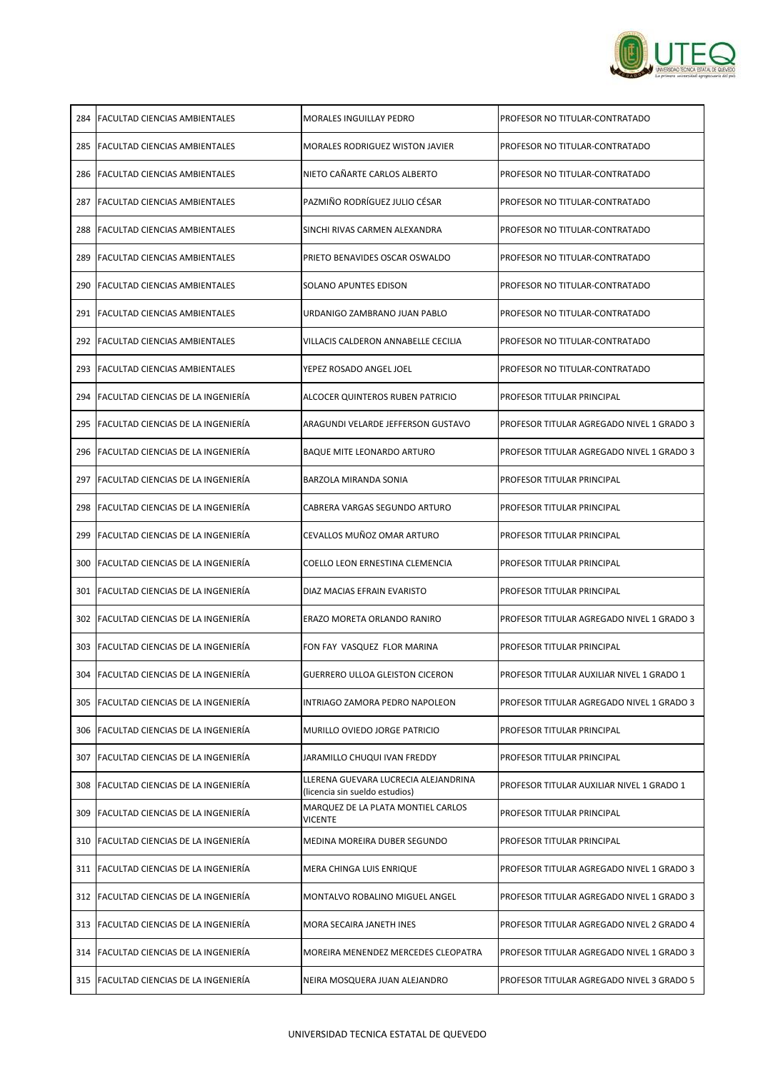

| 284 | <b>FACULTAD CIENCIAS AMBIENTALES</b>       | IMORALES INGUILLAY PEDRO                                               | PROFESOR NO TITULAR-CONTRATADO            |
|-----|--------------------------------------------|------------------------------------------------------------------------|-------------------------------------------|
| 285 | <b>FACULTAD CIENCIAS AMBIENTALES</b>       | MORALES RODRIGUEZ WISTON JAVIER                                        | <b>PROFESOR NO TITULAR-CONTRATADO</b>     |
| 286 | <b>IFACULTAD CIENCIAS AMBIENTALES</b>      | NIETO CAÑARTE CARLOS ALBERTO                                           | PROFESOR NO TITULAR-CONTRATADO            |
| 287 | <b>FACULTAD CIENCIAS AMBIENTALES</b>       | PAZMIÑO RODRÍGUEZ JULIO CÉSAR                                          | <b>PROFESOR NO TITULAR-CONTRATADO</b>     |
| 288 | <b>IFACULTAD CIENCIAS AMBIENTALES</b>      | SINCHI RIVAS CARMEN ALEXANDRA                                          | <b>PROFESOR NO TITULAR-CONTRATADO</b>     |
| 289 | <b>IFACULTAD CIENCIAS AMBIENTALES</b>      | PRIETO BENAVIDES OSCAR OSWALDO                                         | PROFESOR NO TITULAR-CONTRATADO            |
| 290 | <b>IFACULTAD CIENCIAS AMBIENTALES</b>      | ISOLANO APUNTES EDISON                                                 | PROFESOR NO TITULAR-CONTRATADO            |
| 291 | <b>FACULTAD CIENCIAS AMBIENTALES</b>       | URDANIGO ZAMBRANO JUAN PABLO                                           | <b>PROFESOR NO TITULAR-CONTRATADO</b>     |
| 292 | <b>FACULTAD CIENCIAS AMBIENTALES</b>       | VILLACIS CALDERON ANNABELLE CECILIA                                    | <b>PROFESOR NO TITULAR-CONTRATADO</b>     |
| 293 | <b>FACULTAD CIENCIAS AMBIENTALES</b>       | YEPEZ ROSADO ANGEL JOEL                                                | PROFESOR NO TITULAR-CONTRATADO            |
| 294 | <b>IFACULTAD CIENCIAS DE LA INGENIERÍA</b> | ALCOCER QUINTEROS RUBEN PATRICIO                                       | <b>PROFESOR TITULAR PRINCIPAL</b>         |
|     | 295 FACULTAD CIENCIAS DE LA INGENIERÍA     | ARAGUNDI VELARDE JEFFERSON GUSTAVO                                     | PROFESOR TITULAR AGREGADO NIVEL 1 GRADO 3 |
| 296 | <b>FACULTAD CIENCIAS DE LA INGENIERÍA</b>  | <b>BAQUE MITE LEONARDO ARTURO</b>                                      | PROFESOR TITULAR AGREGADO NIVEL 1 GRADO 3 |
| 297 | <b>IFACULTAD CIENCIAS DE LA INGENIERÍA</b> | BARZOLA MIRANDA SONIA                                                  | <b>PROFESOR TITULAR PRINCIPAL</b>         |
|     | 298 FACULTAD CIENCIAS DE LA INGENIERÍA     | CABRERA VARGAS SEGUNDO ARTURO                                          | <b>PROFESOR TITULAR PRINCIPAL</b>         |
|     | 299 FACULTAD CIENCIAS DE LA INGENIERÍA     | CEVALLOS MUÑOZ OMAR ARTURO                                             | PROFESOR TITULAR PRINCIPAL                |
| 300 | FACULTAD CIENCIAS DE LA INGENIERÍA         | COELLO LEON ERNESTINA CLEMENCIA                                        | <b>PROFESOR TITULAR PRINCIPAL</b>         |
| 301 | <b>IFACULTAD CIENCIAS DE LA INGENIERÍA</b> | DIAZ MACIAS EFRAIN EVARISTO                                            | <b>PROFESOR TITULAR PRINCIPAL</b>         |
| 302 | <b>FACULTAD CIENCIAS DE LA INGENIERÍA</b>  | ERAZO MORETA ORLANDO RANIRO                                            | PROFESOR TITULAR AGREGADO NIVEL 1 GRADO 3 |
| 303 | FACULTAD CIENCIAS DE LA INGENIERÍA         | FON FAY VASQUEZ FLOR MARINA                                            | <b>PROFESOR TITULAR PRINCIPAL</b>         |
| 304 | FACULTAD CIENCIAS DE LA INGENIERÍA         | <b>GUERRERO ULLOA GLEISTON CICERON</b>                                 | PROFESOR TITULAR AUXILIAR NIVEL 1 GRADO 1 |
| 305 | FACULTAD CIENCIAS DE LA INGENIERÍA         | INTRIAGO ZAMORA PEDRO NAPOLEON                                         | PROFESOR TITULAR AGREGADO NIVEL 1 GRADO 3 |
| 306 | FACULTAD CIENCIAS DE LA INGENIERÍA         | MURILLO OVIEDO JORGE PATRICIO                                          | <b>PROFESOR TITULAR PRINCIPAL</b>         |
| 307 | FACULTAD CIENCIAS DE LA INGENIERÍA         | JARAMILLO CHUQUI IVAN FREDDY                                           | <b>PROFESOR TITULAR PRINCIPAL</b>         |
| 308 | FACULTAD CIENCIAS DE LA INGENIERÍA         | LLERENA GUEVARA LUCRECIA ALEJANDRINA<br>(licencia sin sueldo estudios) | PROFESOR TITULAR AUXILIAR NIVEL 1 GRADO 1 |
| 309 | FACULTAD CIENCIAS DE LA INGENIERÍA         | MARQUEZ DE LA PLATA MONTIEL CARLOS<br><b>VICENTE</b>                   | <b>PROFESOR TITULAR PRINCIPAL</b>         |
| 310 | <b>IFACULTAD CIENCIAS DE LA INGENIERÍA</b> | MEDINA MOREIRA DUBER SEGUNDO                                           | <b>PROFESOR TITULAR PRINCIPAL</b>         |
| 311 | <b>FACULTAD CIENCIAS DE LA INGENIERÍA</b>  | MERA CHINGA LUIS ENRIQUE                                               | PROFESOR TITULAR AGREGADO NIVEL 1 GRADO 3 |
| 312 | <b>FACULTAD CIENCIAS DE LA INGENIERÍA</b>  | MONTALVO ROBALINO MIGUEL ANGEL                                         | PROFESOR TITULAR AGREGADO NIVEL 1 GRADO 3 |
| 313 | FACULTAD CIENCIAS DE LA INGENIERÍA         | MORA SECAIRA JANETH INES                                               | PROFESOR TITULAR AGREGADO NIVEL 2 GRADO 4 |
|     | 314 FACULTAD CIENCIAS DE LA INGENIERÍA     | <b>MOREIRA MENENDEZ MERCEDES CLEOPATRA</b>                             | PROFESOR TITULAR AGREGADO NIVEL 1 GRADO 3 |
| 315 | FACULTAD CIENCIAS DE LA INGENIERÍA         | NEIRA MOSQUERA JUAN ALEJANDRO                                          | PROFESOR TITULAR AGREGADO NIVEL 3 GRADO 5 |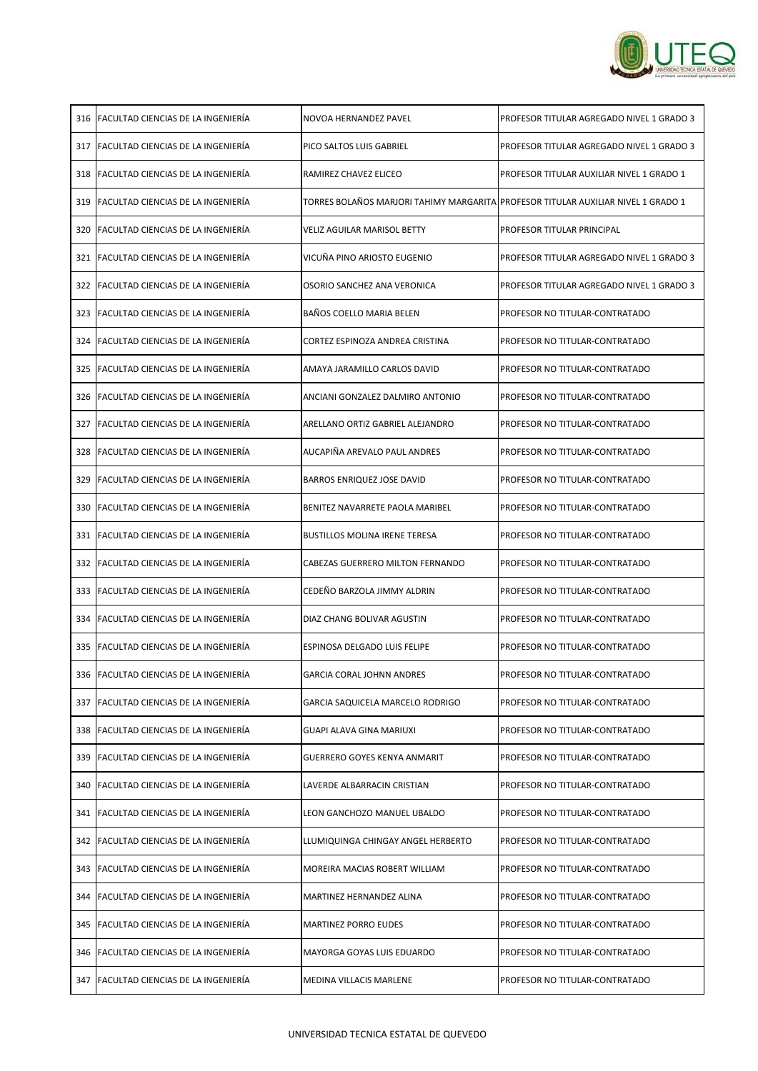

| 316 | <b>IFACULTAD CIENCIAS DE LA INGENIERÍA</b> | INOVOA HERNANDEZ PAVEL                                                            | PROFESOR TITULAR AGREGADO NIVEL 1 GRADO 3  |
|-----|--------------------------------------------|-----------------------------------------------------------------------------------|--------------------------------------------|
| 317 | <b>FACULTAD CIENCIAS DE LA INGENIERÍA</b>  | <b>PICO SALTOS LUIS GABRIEL</b>                                                   | PROFESOR TITULAR AGREGADO NIVEL 1 GRADO 3  |
| 318 | FACULTAD CIENCIAS DE LA INGENIERÍA         | IRAMIREZ CHAVEZ ELICEO                                                            | IPROFESOR TITULAR AUXILIAR NIVEL 1 GRADO 1 |
| 319 | <b>FACULTAD CIENCIAS DE LA INGENIERÍA</b>  | TORRES BOLAÑOS MARJORI TAHIMY MARGARITA PROFESOR TITULAR AUXILIAR NIVEL 1 GRADO 1 |                                            |
| 320 | <b>FACULTAD CIENCIAS DE LA INGENIERÍA</b>  | <b>VELIZ AGUILAR MARISOL BETTY</b>                                                | IPROFESOR TITULAR PRINCIPAL                |
| 321 | <b>IFACULTAD CIENCIAS DE LA INGENIERÍA</b> | VICUÑA PINO ARIOSTO EUGENIO                                                       | IPROFESOR TITULAR AGREGADO NIVEL 1 GRADO 3 |
| 322 | <b>IFACULTAD CIENCIAS DE LA INGENIERÍA</b> | OSORIO SANCHEZ ANA VERONICA                                                       | IPROFESOR TITULAR AGREGADO NIVEL 1 GRADO 3 |
| 323 | <b>IFACULTAD CIENCIAS DE LA INGENIERÍA</b> | <b>BAÑOS COELLO MARIA BELEN</b>                                                   | PROFESOR NO TITULAR-CONTRATADO             |
| 324 | lFACULTAD CIENCIAS DE LA INGENIERÍA        | CORTEZ ESPINOZA ANDREA CRISTINA                                                   | <b>PROFESOR NO TITULAR-CONTRATADO</b>      |
| 325 | <b>IFACULTAD CIENCIAS DE LA INGENIERÍA</b> | AMAYA JARAMILLO CARLOS DAVID                                                      | <b>PROFESOR NO TITULAR-CONTRATADO</b>      |
| 326 | <b>IFACULTAD CIENCIAS DE LA INGENIERÍA</b> | ANCIANI GONZALEZ DALMIRO ANTONIO                                                  | PROFESOR NO TITULAR-CONTRATADO             |
| 327 | <b>IFACULTAD CIENCIAS DE LA INGENIERÍA</b> | ARELLANO ORTIZ GABRIEL ALEJANDRO                                                  | PROFESOR NO TITULAR-CONTRATADO             |
| 328 | <b>IFACULTAD CIENCIAS DE LA INGENIERÍA</b> | AUCAPIÑA AREVALO PAUL ANDRES                                                      | PROFESOR NO TITULAR-CONTRATADO             |
| 329 | <b>IFACULTAD CIENCIAS DE LA INGENIERÍA</b> | <b>BARROS ENRIQUEZ JOSE DAVID</b>                                                 | IPROFESOR NO TITULAR-CONTRATADO            |
| 330 | <b>IFACULTAD CIENCIAS DE LA INGENIERÍA</b> | IBENITEZ NAVARRETE PAOLA MARIBEL                                                  | PROFESOR NO TITULAR-CONTRATADO             |
|     | 331 FACULTAD CIENCIAS DE LA INGENIERÍA     | <b>BUSTILLOS MOLINA IRENE TERESA</b>                                              | <b>PROFESOR NO TITULAR-CONTRATADO</b>      |
|     | 332 FACULTAD CIENCIAS DE LA INGENIERÍA     | CABEZAS GUERRERO MILTON FERNANDO                                                  | PROFESOR NO TITULAR-CONTRATADO             |
|     | 333 FACULTAD CIENCIAS DE LA INGENIERÍA     | CEDEÑO BARZOLA JIMMY ALDRIN                                                       | PROFESOR NO TITULAR-CONTRATADO             |
|     | 334 FACULTAD CIENCIAS DE LA INGENIERÍA     | DIAZ CHANG BOLIVAR AGUSTIN                                                        | <b>PROFESOR NO TITULAR-CONTRATADO</b>      |
|     | 335 FACULTAD CIENCIAS DE LA INGENIERÍA     | ESPINOSA DELGADO LUIS FELIPE                                                      | PROFESOR NO TITULAR-CONTRATADO             |
|     | 336 FACULTAD CIENCIAS DE LA INGENIERÍA     | <b>GARCIA CORAL JOHNN ANDRES</b>                                                  | PROFESOR NO TITULAR-CONTRATADO             |
|     | 337 FACULTAD CIENCIAS DE LA INGENIERÍA     | <b>GARCIA SAQUICELA MARCELO RODRIGO</b>                                           | <b>PROFESOR NO TITULAR-CONTRATADO</b>      |
|     | 338 IFACULTAD CIENCIAS DE LA INGENIERIA    | GUAPI ALAVA GINA MARIUXI                                                          | PROFESOR NO TITULAR-CONTRATADO             |
| 339 | FACULTAD CIENCIAS DE LA INGENIERÍA         | <b>GUERRERO GOYES KENYA ANMARIT</b>                                               | <b>PROFESOR NO TITULAR-CONTRATADO</b>      |
| 340 | FACULTAD CIENCIAS DE LA INGENIERÍA         | LAVERDE ALBARRACIN CRISTIAN                                                       | PROFESOR NO TITULAR-CONTRATADO             |
|     | 341 FACULTAD CIENCIAS DE LA INGENIERÍA     | LEON GANCHOZO MANUEL UBALDO                                                       | <b>PROFESOR NO TITULAR-CONTRATADO</b>      |
| 342 | <b>IFACULTAD CIENCIAS DE LA INGENIERÍA</b> | LLUMIQUINGA CHINGAY ANGEL HERBERTO                                                | PROFESOR NO TITULAR-CONTRATADO             |
| 343 | <b>IFACULTAD CIENCIAS DE LA INGENIERÍA</b> | IMOREIRA MACIAS ROBERT WILLIAM                                                    | IPROFESOR NO TITULAR-CONTRATADO            |
| 344 | FACULTAD CIENCIAS DE LA INGENIERÍA         | MARTINEZ HERNANDEZ ALINA                                                          | PROFESOR NO TITULAR-CONTRATADO             |
|     | 345 FACULTAD CIENCIAS DE LA INGENIERÍA     | <b>MARTINEZ PORRO EUDES</b>                                                       | PROFESOR NO TITULAR-CONTRATADO             |
|     | 346 FACULTAD CIENCIAS DE LA INGENIERÍA     | <b>MAYORGA GOYAS LUIS EDUARDO</b>                                                 | PROFESOR NO TITULAR-CONTRATADO             |
| 347 | FACULTAD CIENCIAS DE LA INGENIERÍA         | <b>MEDINA VILLACIS MARLENE</b>                                                    | PROFESOR NO TITULAR-CONTRATADO             |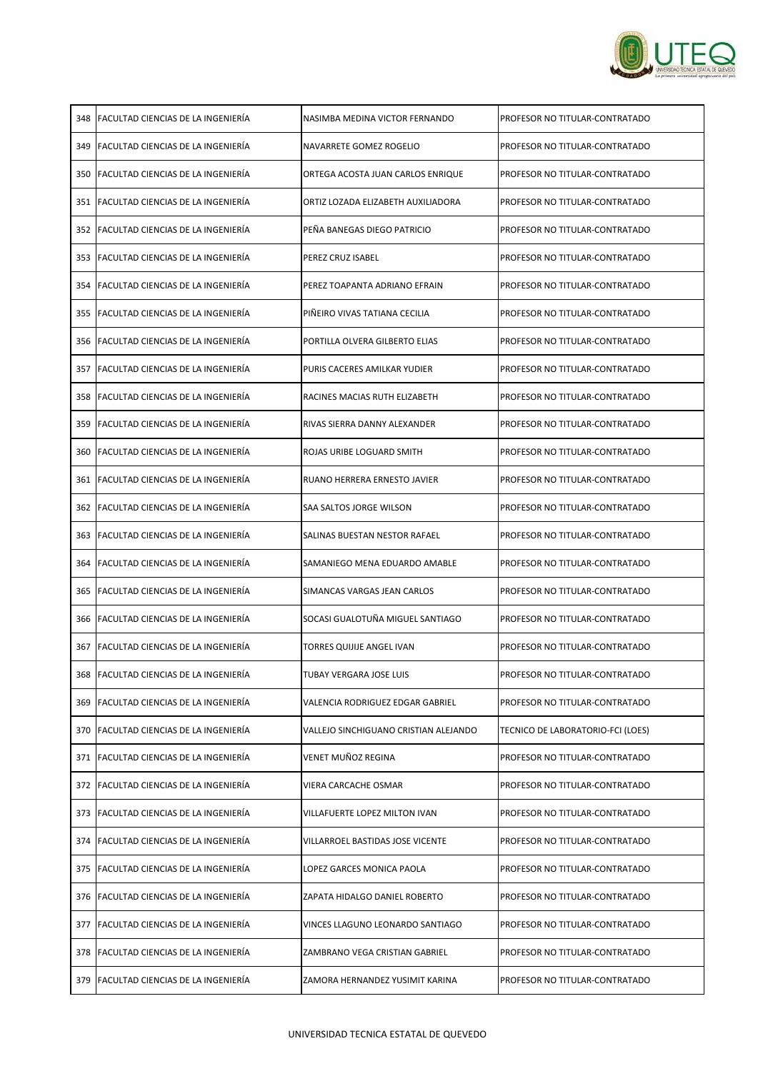

| 348 | <b>FACULTAD CIENCIAS DE LA INGENIERÍA</b>  | INASIMBA MEDINA VICTOR FERNANDO       | PROFESOR NO TITULAR-CONTRATADO        |
|-----|--------------------------------------------|---------------------------------------|---------------------------------------|
| 349 | <b>IFACULTAD CIENCIAS DE LA INGENIERÍA</b> | NAVARRETE GOMEZ ROGELIO               | <b>PROFESOR NO TITULAR-CONTRATADO</b> |
| 350 | <b>IFACULTAD CIENCIAS DE LA INGENIERÍA</b> | ORTEGA ACOSTA JUAN CARLOS ENRIQUE     | PROFESOR NO TITULAR-CONTRATADO        |
| 351 | <b>IFACULTAD CIENCIAS DE LA INGENIERÍA</b> | ORTIZ LOZADA ELIZABETH AUXILIADORA    | <b>PROFESOR NO TITULAR-CONTRATADO</b> |
|     | 352 FACULTAD CIENCIAS DE LA INGENIERÍA     | PEÑA BANEGAS DIEGO PATRICIO           | PROFESOR NO TITULAR-CONTRATADO        |
| 353 | <b>IFACULTAD CIENCIAS DE LA INGENIERÍA</b> | PEREZ CRUZ ISABEL                     | PROFESOR NO TITULAR-CONTRATADO        |
| 354 | <b>IFACULTAD CIENCIAS DE LA INGENIERÍA</b> | IPEREZ TOAPANTA ADRIANO EFRAIN        | PROFESOR NO TITULAR-CONTRATADO        |
| 355 | FACULTAD CIENCIAS DE LA INGENIERÍA         | PIÑEIRO VIVAS TATIANA CECILIA         | PROFESOR NO TITULAR-CONTRATADO        |
| 356 | <b>IFACULTAD CIENCIAS DE LA INGENIERÍA</b> | IPORTILLA OLVERA GILBERTO ELIAS       | <b>PROFESOR NO TITULAR-CONTRATADO</b> |
| 357 | <b>FACULTAD CIENCIAS DE LA INGENIERÍA</b>  | PURIS CACERES AMILKAR YUDIER          | <b>PROFESOR NO TITULAR-CONTRATADO</b> |
| 358 | <b>IFACULTAD CIENCIAS DE LA INGENIERÍA</b> | RACINES MACIAS RUTH ELIZABETH         | <b>PROFESOR NO TITULAR-CONTRATADO</b> |
| 359 | <b>IFACULTAD CIENCIAS DE LA INGENIERÍA</b> | IRIVAS SIERRA DANNY ALEXANDER         | PROFESOR NO TITULAR-CONTRATADO        |
| 360 | <b>IFACULTAD CIENCIAS DE LA INGENIERÍA</b> | ROJAS URIBE LOGUARD SMITH             | <b>PROFESOR NO TITULAR-CONTRATADO</b> |
| 361 | <b>IFACULTAD CIENCIAS DE LA INGENIERÍA</b> | IRUANO HERRERA ERNESTO JAVIER         | PROFESOR NO TITULAR-CONTRATADO        |
|     | 362 FACULTAD CIENCIAS DE LA INGENIERÍA     | ISAA SALTOS JORGE WILSON              | PROFESOR NO TITULAR-CONTRATADO        |
|     | 363 FACULTAD CIENCIAS DE LA INGENIERÍA     | SALINAS BUESTAN NESTOR RAFAEL         | PROFESOR NO TITULAR-CONTRATADO        |
| 364 | <b>FACULTAD CIENCIAS DE LA INGENIERÍA</b>  | SAMANIEGO MENA EDUARDO AMABLE         | PROFESOR NO TITULAR-CONTRATADO        |
| 365 | FACULTAD CIENCIAS DE LA INGENIERÍA         | SIMANCAS VARGAS JEAN CARLOS           | <b>PROFESOR NO TITULAR-CONTRATADO</b> |
|     | 366 FACULTAD CIENCIAS DE LA INGENIERÍA     | SOCASI GUALOTUÑA MIGUEL SANTIAGO      | <b>PROFESOR NO TITULAR-CONTRATADO</b> |
| 367 | <b>FACULTAD CIENCIAS DE LA INGENIERÍA</b>  | TORRES QUIJIJE ANGEL IVAN             | <b>PROFESOR NO TITULAR-CONTRATADO</b> |
|     | 368 FACULTAD CIENCIAS DE LA INGENIERÍA     | TUBAY VERGARA JOSE LUIS               | <b>PROFESOR NO TITULAR-CONTRATADO</b> |
| 369 | FACULTAD CIENCIAS DE LA INGENIERÍA         | VALENCIA RODRIGUEZ EDGAR GABRIEL      | <b>PROFESOR NO TITULAR-CONTRATADO</b> |
| 370 | FACULTAD CIENCIAS DE LA INGENIERÍA         | VALLEJO SINCHIGUANO CRISTIAN ALEJANDO | TECNICO DE LABORATORIO-FCI (LOES)     |
| 371 | <b>FACULTAD CIENCIAS DE LA INGENIERÍA</b>  | <b>VENET MUÑOZ REGINA</b>             | PROFESOR NO TITULAR-CONTRATADO        |
| 372 | <b>IFACULTAD CIENCIAS DE LA INGENIERÍA</b> | <b>VIERA CARCACHE OSMAR</b>           | <b>PROFESOR NO TITULAR-CONTRATADO</b> |
| 373 | <b>FACULTAD CIENCIAS DE LA INGENIERÍA</b>  | VILLAFUERTE LOPEZ MILTON IVAN         | PROFESOR NO TITULAR-CONTRATADO        |
| 374 | <b>IFACULTAD CIENCIAS DE LA INGENIERÍA</b> | VILLARROEL BASTIDAS JOSE VICENTE      | <b>PROFESOR NO TITULAR-CONTRATADO</b> |
| 375 | FACULTAD CIENCIAS DE LA INGENIERÍA         | LOPEZ GARCES MONICA PAOLA             | PROFESOR NO TITULAR-CONTRATADO        |
| 376 | FACULTAD CIENCIAS DE LA INGENIERÍA         | ZAPATA HIDALGO DANIEL ROBERTO         | PROFESOR NO TITULAR-CONTRATADO        |
| 377 | FACULTAD CIENCIAS DE LA INGENIERÍA         | VINCES LLAGUNO LEONARDO SANTIAGO      | <b>PROFESOR NO TITULAR-CONTRATADO</b> |
|     | 378 FACULTAD CIENCIAS DE LA INGENIERÍA     | ZAMBRANO VEGA CRISTIAN GABRIEL        | PROFESOR NO TITULAR-CONTRATADO        |
| 379 | <b>FACULTAD CIENCIAS DE LA INGENIERÍA</b>  | ZAMORA HERNANDEZ YUSIMIT KARINA       | <b>PROFESOR NO TITULAR-CONTRATADO</b> |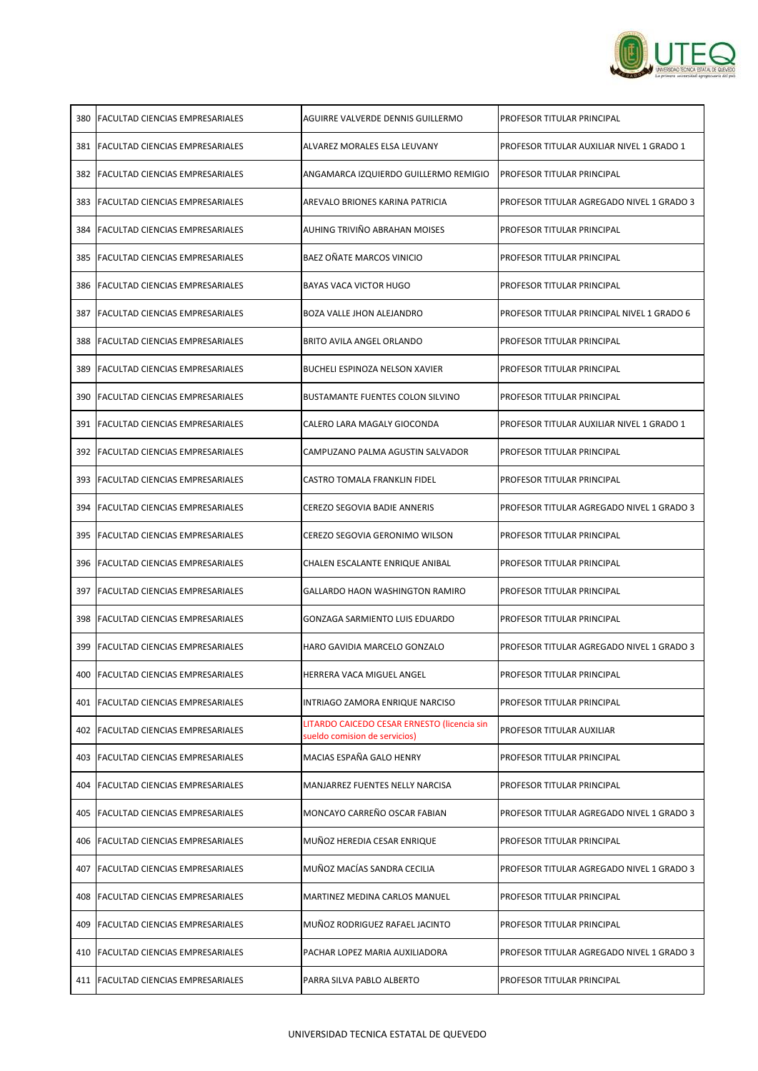

| 380 | <b>IFACULTAD CIENCIAS EMPRESARIALES</b> | AGUIRRE VALVERDE DENNIS GUILLERMO                                            | IPROFESOR TITULAR PRINCIPAL                      |
|-----|-----------------------------------------|------------------------------------------------------------------------------|--------------------------------------------------|
| 381 | <b>FACULTAD CIENCIAS EMPRESARIALES</b>  | ALVAREZ MORALES ELSA LEUVANY                                                 | PROFESOR TITULAR AUXILIAR NIVEL 1 GRADO 1        |
|     | 382 IFACULTAD CIENCIAS EMPRESARIALES    | ANGAMARCA IZQUIERDO GUILLERMO REMIGIO                                        | <b>PROFESOR TITULAR PRINCIPAL</b>                |
|     | 383   FACULTAD CIENCIAS EMPRESARIALES   | AREVALO BRIONES KARINA PATRICIA                                              | PROFESOR TITULAR AGREGADO NIVEL 1 GRADO 3        |
| 384 | <b>IFACULTAD CIENCIAS EMPRESARIALES</b> | <b>AUHING TRIVIÑO ABRAHAN MOISES</b>                                         | IPROFESOR TITULAR PRINCIPAL                      |
|     | 385 FACULTAD CIENCIAS EMPRESARIALES     | BAEZ OÑATE MARCOS VINICIO                                                    | IPROFESOR TITULAR PRINCIPAL                      |
|     | 386 IFACULTAD CIENCIAS EMPRESARIALES    | IBAYAS VACA VICTOR HUGO                                                      | <b>PROFESOR TITULAR PRINCIPAL</b>                |
| 387 | <b>FACULTAD CIENCIAS EMPRESARIALES</b>  | BOZA VALLE JHON ALEJANDRO                                                    | PROFESOR TITULAR PRINCIPAL NIVEL 1 GRADO 6       |
| 388 | <b>IFACULTAD CIENCIAS EMPRESARIALES</b> | IBRITO AVILA ANGEL ORLANDO                                                   | <b>PROFESOR TITULAR PRINCIPAL</b>                |
| 389 | <b>IFACULTAD CIENCIAS EMPRESARIALES</b> | BUCHELI ESPINOZA NELSON XAVIER                                               | IPROFESOR TITULAR PRINCIPAL                      |
|     | 390   FACULTAD CIENCIAS EMPRESARIALES   | BUSTAMANTE FUENTES COLON SILVINO                                             | <b>PROFESOR TITULAR PRINCIPAL</b>                |
| 391 | <b>IFACULTAD CIENCIAS EMPRESARIALES</b> | CALERO LARA MAGALY GIOCONDA                                                  | IPROFESOR TITULAR AUXILIAR NIVEL 1 GRADO 1       |
|     | 392   FACULTAD CIENCIAS EMPRESARIALES   | CAMPUZANO PALMA AGUSTIN SALVADOR                                             | IPROFESOR TITULAR PRINCIPAL                      |
| 393 | <b>IFACULTAD CIENCIAS EMPRESARIALES</b> | CASTRO TOMALA FRANKLIN FIDEL                                                 | IPROFESOR TITULAR PRINCIPAL                      |
| 394 | <b>IFACULTAD CIENCIAS EMPRESARIALES</b> | CEREZO SEGOVIA BADIE ANNERIS                                                 | IPROFESOR TITULAR AGREGADO NIVEL 1 GRADO 3       |
|     | 395   FACULTAD CIENCIAS EMPRESARIALES   | CEREZO SEGOVIA GERONIMO WILSON                                               | <b>PROFESOR TITULAR PRINCIPAL</b>                |
|     | 396 FACULTAD CIENCIAS EMPRESARIALES     | CHALEN ESCALANTE ENRIQUE ANIBAL                                              | <b>PROFESOR TITULAR PRINCIPAL</b>                |
|     | 397   FACULTAD CIENCIAS EMPRESARIALES   | GALLARDO HAON WASHINGTON RAMIRO                                              | <b>PROFESOR TITULAR PRINCIPAL</b>                |
|     | 398   FACULTAD CIENCIAS EMPRESARIALES   | GONZAGA SARMIENTO LUIS EDUARDO                                               | <b>PROFESOR TITULAR PRINCIPAL</b>                |
| 399 | <b>FACULTAD CIENCIAS EMPRESARIALES</b>  | HARO GAVIDIA MARCELO GONZALO                                                 | PROFESOR TITULAR AGREGADO NIVEL 1 GRADO 3        |
| 400 | <b>FACULTAD CIENCIAS EMPRESARIALES</b>  | HERRERA VACA MIGUEL ANGEL                                                    | <b>PROFESOR TITULAR PRINCIPAL</b>                |
| 401 | <b>FACULTAD CIENCIAS EMPRESARIALES</b>  | INTRIAGO ZAMORA ENRIQUE NARCISO                                              | <b>PROFESOR TITULAR PRINCIPAL</b>                |
| 402 | <b>FACULTAD CIENCIAS EMPRESARIALES</b>  | LITARDO CAICEDO CESAR ERNESTO (licencia sin<br>sueldo comision de servicios) | PROFESOR TITULAR AUXILIAR                        |
| 403 | <b>FACULTAD CIENCIAS EMPRESARIALES</b>  | MACIAS ESPAÑA GALO HENRY                                                     | <b>PROFESOR TITULAR PRINCIPAL</b>                |
| 404 | <b>FACULTAD CIENCIAS EMPRESARIALES</b>  | MANJARREZ FUENTES NELLY NARCISA                                              | <b>PROFESOR TITULAR PRINCIPAL</b>                |
| 405 | <b>FACULTAD CIENCIAS EMPRESARIALES</b>  | MONCAYO CARREÑO OSCAR FABIAN                                                 | PROFESOR TITULAR AGREGADO NIVEL 1 GRADO 3        |
| 406 | <b>FACULTAD CIENCIAS EMPRESARIALES</b>  | MUÑOZ HEREDIA CESAR ENRIQUE                                                  | IPROFESOR TITULAR PRINCIPAL                      |
|     | 407 FACULTAD CIENCIAS EMPRESARIALES     | MUÑOZ MACÍAS SANDRA CECILIA                                                  | PROFESOR TITULAR AGREGADO NIVEL 1 GRADO 3        |
| 408 | <b>FACULTAD CIENCIAS EMPRESARIALES</b>  | <b>MARTINEZ MEDINA CARLOS MANUEL</b>                                         | <b>PROFESOR TITULAR PRINCIPAL</b>                |
| 409 | <b>FACULTAD CIENCIAS EMPRESARIALES</b>  | MUÑOZ RODRIGUEZ RAFAEL JACINTO                                               | <b>PROFESOR TITULAR PRINCIPAL</b>                |
| 410 | <b>FACULTAD CIENCIAS EMPRESARIALES</b>  | PACHAR LOPEZ MARIA AUXILIADORA                                               | <b>PROFESOR TITULAR AGREGADO NIVEL 1 GRADO 3</b> |
|     | 411   FACULTAD CIENCIAS EMPRESARIALES   | PARRA SILVA PABLO ALBERTO                                                    | PROFESOR TITULAR PRINCIPAL                       |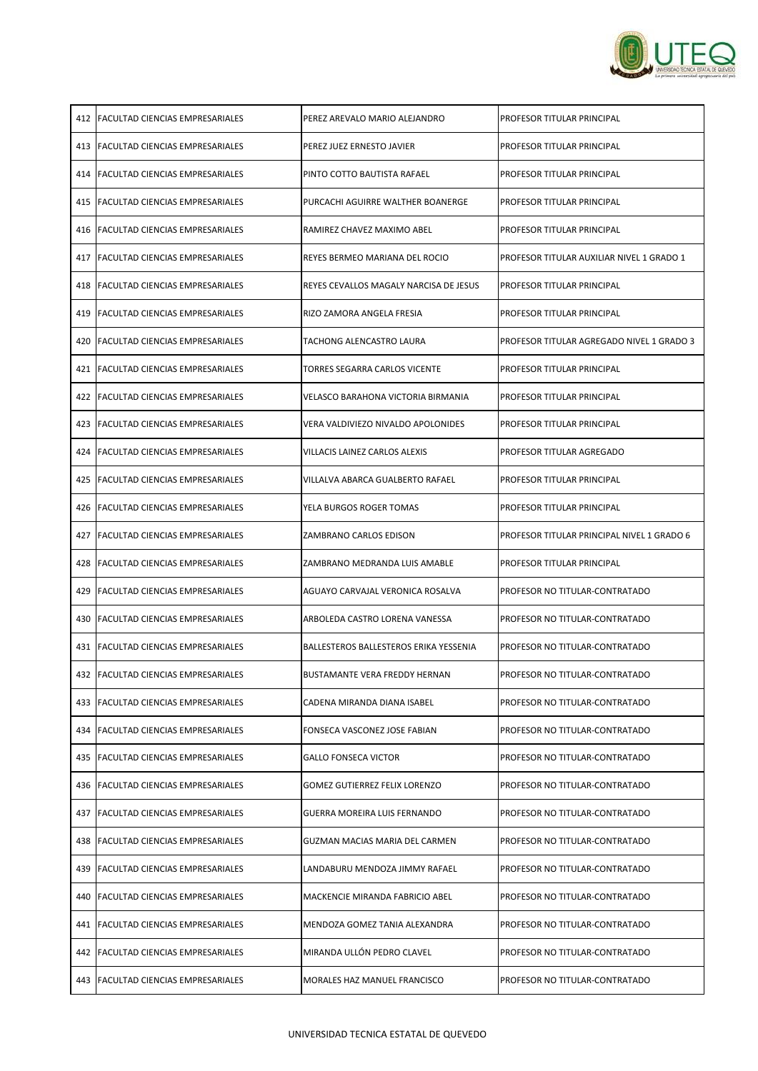

|     | 412 FACULTAD CIENCIAS EMPRESARIALES         | IPEREZ AREVALO MARIO ALEJANDRO                | PROFESOR TITULAR PRINCIPAL                 |
|-----|---------------------------------------------|-----------------------------------------------|--------------------------------------------|
|     | 413   FACULTAD CIENCIAS EMPRESARIALES       | PEREZ JUEZ ERNESTO JAVIER                     | <b>PROFESOR TITULAR PRINCIPAL</b>          |
|     | 414 FACULTAD CIENCIAS EMPRESARIALES         | IPINTO COTTO BAUTISTA RAFAEL                  | PROFESOR TITULAR PRINCIPAL                 |
| 415 | <b>FACULTAD CIENCIAS EMPRESARIALES</b>      | PURCACHI AGUIRRE WALTHER BOANERGE             | <b>PROFESOR TITULAR PRINCIPAL</b>          |
|     | 416 <b>IFACULTAD CIENCIAS EMPRESARIALES</b> | RAMIREZ CHAVEZ MAXIMO ABEL                    | PROFESOR TITULAR PRINCIPAL                 |
|     | 417   FACULTAD CIENCIAS EMPRESARIALES       | REYES BERMEO MARIANA DEL ROCIO                | PROFESOR TITULAR AUXILIAR NIVEL 1 GRADO 1  |
|     | 418 IFACULTAD CIENCIAS EMPRESARIALES        | IREYES CEVALLOS MAGALY NARCISA DE JESUS       | PROFESOR TITULAR PRINCIPAL                 |
| 419 | <b>FACULTAD CIENCIAS EMPRESARIALES</b>      | RIZO ZAMORA ANGELA FRESIA                     | PROFESOR TITULAR PRINCIPAL                 |
| 420 | <b>FACULTAD CIENCIAS EMPRESARIALES</b>      | <b>TACHONG ALENCASTRO LAURA</b>               | PROFESOR TITULAR AGREGADO NIVEL 1 GRADO 3  |
| 421 | <b>IFACULTAD CIENCIAS EMPRESARIALES</b>     | TORRES SEGARRA CARLOS VICENTE                 | PROFESOR TITULAR PRINCIPAL                 |
| 422 | <b>FACULTAD CIENCIAS EMPRESARIALES</b>      | VELASCO BARAHONA VICTORIA BIRMANIA            | PROFESOR TITULAR PRINCIPAL                 |
|     | 423 IFACULTAD CIENCIAS EMPRESARIALES        | VERA VALDIVIEZO NIVALDO APOLONIDES            | PROFESOR TITULAR PRINCIPAL                 |
|     | 424   FACULTAD CIENCIAS EMPRESARIALES       | VILLACIS LAINEZ CARLOS ALEXIS                 | <b>PROFESOR TITULAR AGREGADO</b>           |
|     | 425   FACULTAD CIENCIAS EMPRESARIALES       | VILLALVA ABARCA GUALBERTO RAFAEL              | PROFESOR TITULAR PRINCIPAL                 |
| 426 | <b>IFACULTAD CIENCIAS EMPRESARIALES</b>     | YELA BURGOS ROGER TOMAS                       | PROFESOR TITULAR PRINCIPAL                 |
|     | 427   FACULTAD CIENCIAS EMPRESARIALES       | <b>ZAMBRANO CARLOS EDISON</b>                 | PROFESOR TITULAR PRINCIPAL NIVEL 1 GRADO 6 |
|     |                                             |                                               |                                            |
| 428 | <b>FACULTAD CIENCIAS EMPRESARIALES</b>      | ZAMBRANO MEDRANDA LUIS AMABLE                 | PROFESOR TITULAR PRINCIPAL                 |
| 429 | <b>FACULTAD CIENCIAS EMPRESARIALES</b>      | AGUAYO CARVAJAL VERONICA ROSALVA              | PROFESOR NO TITULAR-CONTRATADO             |
|     | 430   FACULTAD CIENCIAS EMPRESARIALES       | ARBOLEDA CASTRO LORENA VANESSA                | PROFESOR NO TITULAR-CONTRATADO             |
| 431 | <b>FACULTAD CIENCIAS EMPRESARIALES</b>      | <b>BALLESTEROS BALLESTEROS ERIKA YESSENIA</b> | <b>PROFESOR NO TITULAR-CONTRATADO</b>      |
|     | 432   FACULTAD CIENCIAS EMPRESARIALES       | BUSTAMANTE VERA FREDDY HERNAN                 | PROFESOR NO TITULAR-CONTRATADO             |
| 433 | <b>FACULTAD CIENCIAS EMPRESARIALES</b>      | CADENA MIRANDA DIANA ISABEL                   | PROFESOR NO TITULAR-CONTRATADO             |
|     | 434   FACULTAD CIENCIAS EMPRESARIALES       | FONSECA VASCONEZ JOSE FABIAN                  | <b>PROFESOR NO TITULAR-CONTRATADO</b>      |
| 435 | <b>FACULTAD CIENCIAS EMPRESARIALES</b>      | <b>GALLO FONSECA VICTOR</b>                   | PROFESOR NO TITULAR-CONTRATADO             |
| 436 | <b>FACULTAD CIENCIAS EMPRESARIALES</b>      | <b>GOMEZ GUTIERREZ FELIX LORENZO</b>          | <b>PROFESOR NO TITULAR-CONTRATADO</b>      |
| 437 | <b>FACULTAD CIENCIAS EMPRESARIALES</b>      | <b>GUERRA MOREIRA LUIS FERNANDO</b>           | PROFESOR NO TITULAR-CONTRATADO             |
|     | 438   FACULTAD CIENCIAS EMPRESARIALES       | GUZMAN MACIAS MARIA DEL CARMEN                | <b>PROFESOR NO TITULAR-CONTRATADO</b>      |
| 439 | <b>FACULTAD CIENCIAS EMPRESARIALES</b>      | LANDABURU MENDOZA JIMMY RAFAEL                | <b>PROFESOR NO TITULAR-CONTRATADO</b>      |
| 440 | <b>FACULTAD CIENCIAS EMPRESARIALES</b>      | MACKENCIE MIRANDA FABRICIO ABEL               | PROFESOR NO TITULAR-CONTRATADO             |
| 441 | <b>FACULTAD CIENCIAS EMPRESARIALES</b>      | MENDOZA GOMEZ TANIA ALEXANDRA                 | <b>PROFESOR NO TITULAR-CONTRATADO</b>      |
|     | 442   FACULTAD CIENCIAS EMPRESARIALES       | MIRANDA ULLÓN PEDRO CLAVEL                    | PROFESOR NO TITULAR-CONTRATADO             |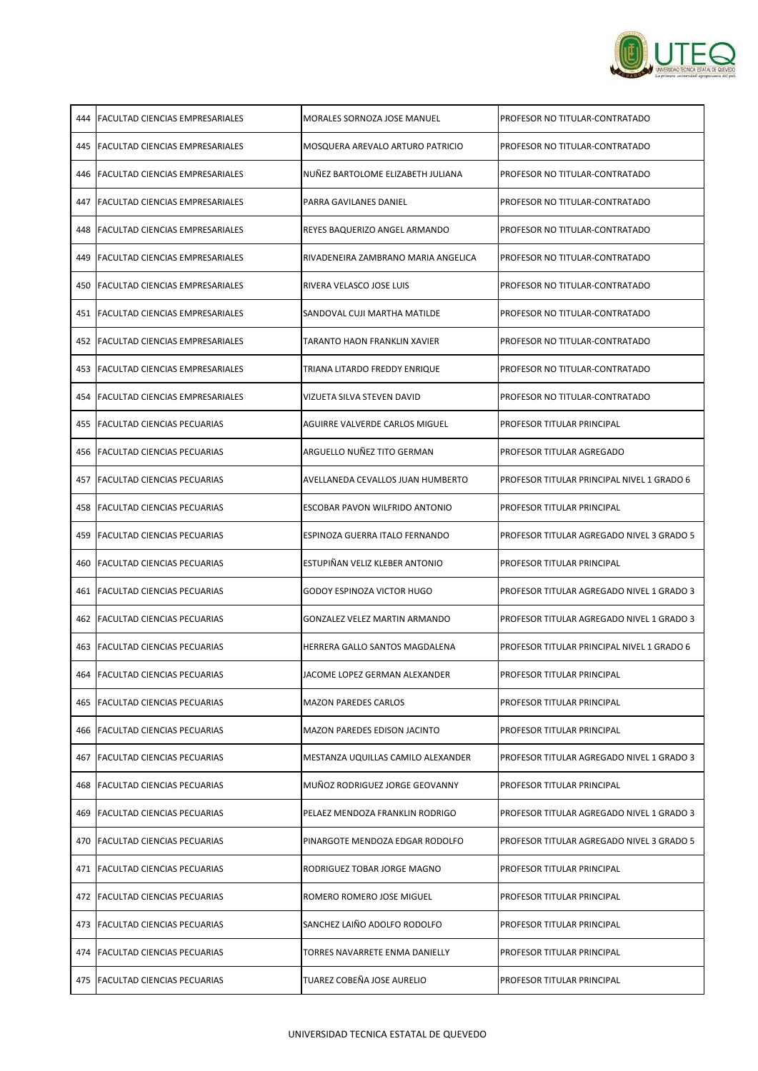

|      | 444   FACULTAD CIENCIAS EMPRESARIALES   | MORALES SORNOZA JOSE MANUEL           | PROFESOR NO TITULAR-CONTRATADO                    |
|------|-----------------------------------------|---------------------------------------|---------------------------------------------------|
| 445  | <b>FACULTAD CIENCIAS EMPRESARIALES</b>  | MOSQUERA AREVALO ARTURO PATRICIO      | <b>PROFESOR NO TITULAR-CONTRATADO</b>             |
| 446  | <b>IFACULTAD CIENCIAS EMPRESARIALES</b> | INUÑEZ BARTOLOME ELIZABETH JULIANA    | PROFESOR NO TITULAR-CONTRATADO                    |
| 447  | <b>IFACULTAD CIENCIAS EMPRESARIALES</b> | PARRA GAVILANES DANIEL                | <b>PROFESOR NO TITULAR-CONTRATADO</b>             |
| 448  | <b>IFACULTAD CIENCIAS EMPRESARIALES</b> | REYES BAQUERIZO ANGEL ARMANDO         | <b>PROFESOR NO TITULAR-CONTRATADO</b>             |
| 449. | <b>IFACULTAD CIENCIAS EMPRESARIALES</b> | RIVADENEIRA ZAMBRANO MARIA ANGELICA   | <b>PROFESOR NO TITULAR-CONTRATADO</b>             |
| 450  | <b>IFACULTAD CIENCIAS EMPRESARIALES</b> | RIVERA VELASCO JOSE LUIS              | PROFESOR NO TITULAR-CONTRATADO                    |
| 451  | <b>IFACULTAD CIENCIAS EMPRESARIALES</b> | SANDOVAL CUJI MARTHA MATILDE          | PROFESOR NO TITULAR-CONTRATADO                    |
| 452  | <b>IFACULTAD CIENCIAS EMPRESARIALES</b> | TARANTO HAON FRANKLIN XAVIER          | PROFESOR NO TITULAR-CONTRATADO                    |
| 453  | <b>FACULTAD CIENCIAS EMPRESARIALES</b>  | TRIANA LITARDO FREDDY ENRIQUE         | <b>PROFESOR NO TITULAR-CONTRATADO</b>             |
| 454  | <b>FACULTAD CIENCIAS EMPRESARIALES</b>  | VIZUETA SILVA STEVEN DAVID            | <b>PROFESOR NO TITULAR-CONTRATADO</b>             |
| 455  | <b>FACULTAD CIENCIAS PECUARIAS</b>      | AGUIRRE VALVERDE CARLOS MIGUEL        | <b>PROFESOR TITULAR PRINCIPAL</b>                 |
| 456  | <b>IFACULTAD CIENCIAS PECUARIAS</b>     | ARGUELLO NUÑEZ TITO GERMAN            | <b>PROFESOR TITULAR AGREGADO</b>                  |
| 457  | <b>FACULTAD CIENCIAS PECUARIAS</b>      | AVELLANEDA CEVALLOS JUAN HUMBERTO     | <b>PROFESOR TITULAR PRINCIPAL NIVEL 1 GRADO 6</b> |
|      | 458 IFACULTAD CIENCIAS PECUARIAS        | ESCOBAR PAVON WILFRIDO ANTONIO        | PROFESOR TITULAR PRINCIPAL                        |
|      | 459   FACULTAD CIENCIAS PECUARIAS       | <b>ESPINOZA GUERRA ITALO FERNANDO</b> | PROFESOR TITULAR AGREGADO NIVEL 3 GRADO 5         |
|      | 460 FACULTAD CIENCIAS PECUARIAS         | ESTUPIÑAN VELIZ KLEBER ANTONIO        | PROFESOR TITULAR PRINCIPAL                        |
| 461  | <b>FACULTAD CIENCIAS PECUARIAS</b>      | GODOY ESPINOZA VICTOR HUGO            | PROFESOR TITULAR AGREGADO NIVEL 1 GRADO 3         |
|      | 462   FACULTAD CIENCIAS PECUARIAS       | <b>GONZALEZ VELEZ MARTIN ARMANDO</b>  | PROFESOR TITULAR AGREGADO NIVEL 1 GRADO 3         |
| 463  | <b>FACULTAD CIENCIAS PECUARIAS</b>      | HERRERA GALLO SANTOS MAGDALENA        | PROFESOR TITULAR PRINCIPAL NIVEL 1 GRADO 6        |
|      | 464   FACULTAD CIENCIAS PECUARIAS       | JACOME LOPEZ GERMAN ALEXANDER         | <b>PROFESOR TITULAR PRINCIPAL</b>                 |
| 465  | <b>FACULTAD CIENCIAS PECUARIAS</b>      | <b>MAZON PAREDES CARLOS</b>           | <b>PROFESOR TITULAR PRINCIPAL</b>                 |
| 466  | <b>FACULTAD CIENCIAS PECUARIAS</b>      | <b>MAZON PAREDES EDISON JACINTO</b>   | <b>PROFESOR TITULAR PRINCIPAL</b>                 |
| 467  | <b>FACULTAD CIENCIAS PECUARIAS</b>      | MESTANZA UQUILLAS CAMILO ALEXANDER    | PROFESOR TITULAR AGREGADO NIVEL 1 GRADO 3         |
|      | 468   FACULTAD CIENCIAS PECUARIAS       | MUÑOZ RODRIGUEZ JORGE GEOVANNY        | <b>PROFESOR TITULAR PRINCIPAL</b>                 |
| 469  | <b>FACULTAD CIENCIAS PECUARIAS</b>      | PELAEZ MENDOZA FRANKLIN RODRIGO       | PROFESOR TITULAR AGREGADO NIVEL 1 GRADO 3         |
| 470  | <b>FACULTAD CIENCIAS PECUARIAS</b>      | PINARGOTE MENDOZA EDGAR RODOLFO       | PROFESOR TITULAR AGREGADO NIVEL 3 GRADO 5         |
| 471  | <b>FACULTAD CIENCIAS PECUARIAS</b>      | RODRIGUEZ TOBAR JORGE MAGNO           | <b>PROFESOR TITULAR PRINCIPAL</b>                 |
| 472  | <b>FACULTAD CIENCIAS PECUARIAS</b>      | ROMERO ROMERO JOSE MIGUEL             | PROFESOR TITULAR PRINCIPAL                        |
| 473  | <b>FACULTAD CIENCIAS PECUARIAS</b>      | SANCHEZ LAIÑO ADOLFO RODOLFO          | <b>PROFESOR TITULAR PRINCIPAL</b>                 |
|      | 474 FACULTAD CIENCIAS PECUARIAS         | TORRES NAVARRETE ENMA DANIELLY        | <b>PROFESOR TITULAR PRINCIPAL</b>                 |
|      | 475   FACULTAD CIENCIAS PECUARIAS       | TUAREZ COBEÑA JOSE AURELIO            | PROFESOR TITULAR PRINCIPAL                        |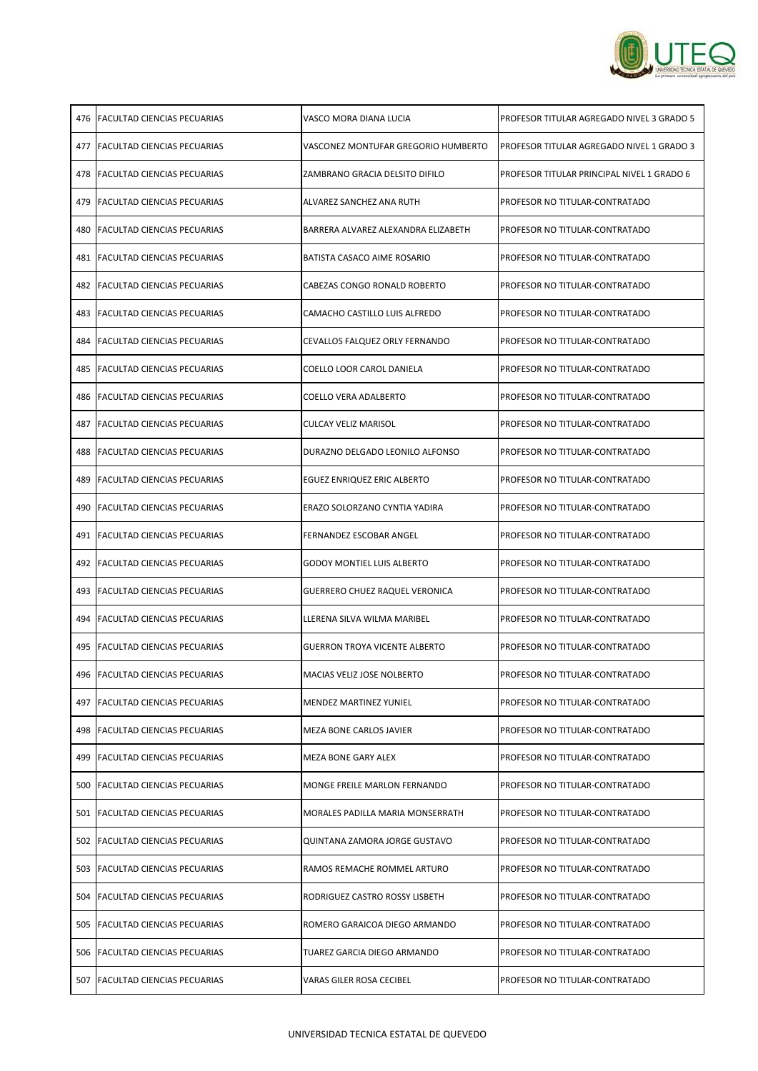

|     | 476   FACULTAD CIENCIAS PECUARIAS   | VASCO MORA DIANA LUCIA                  | PROFESOR TITULAR AGREGADO NIVEL 3 GRADO 5  |
|-----|-------------------------------------|-----------------------------------------|--------------------------------------------|
|     | 477   FACULTAD CIENCIAS PECUARIAS   | VASCONEZ MONTUFAR GREGORIO HUMBERTO     | PROFESOR TITULAR AGREGADO NIVEL 1 GRADO 3  |
|     | 478 IFACULTAD CIENCIAS PECUARIAS    | IZAMBRANO GRACIA DELSITO DIFILO         | PROFESOR TITULAR PRINCIPAL NIVEL 1 GRADO 6 |
|     | 479   FACULTAD CIENCIAS PECUARIAS   | ALVAREZ SANCHEZ ANA RUTH                | PROFESOR NO TITULAR-CONTRATADO             |
|     | 480 IFACULTAD CIENCIAS PECUARIAS    | BARRERA ALVAREZ ALEXANDRA ELIZABETH     | PROFESOR NO TITULAR-CONTRATADO             |
|     | 481   FACULTAD CIENCIAS PECUARIAS   | BATISTA CASACO AIME ROSARIO             | PROFESOR NO TITULAR-CONTRATADO             |
|     | 482 IFACULTAD CIENCIAS PECUARIAS    | CABEZAS CONGO RONALD ROBERTO            | PROFESOR NO TITULAR-CONTRATADO             |
|     | 483 IFACULTAD CIENCIAS PECUARIAS    | CAMACHO CASTILLO LUIS ALFREDO           | PROFESOR NO TITULAR-CONTRATADO             |
| 484 | <b>IFACULTAD CIENCIAS PECUARIAS</b> | CEVALLOS FALQUEZ ORLY FERNANDO          | <b>PROFESOR NO TITULAR-CONTRATADO</b>      |
|     | 485   FACULTAD CIENCIAS PECUARIAS   | COELLO LOOR CAROL DANIELA               | <b>PROFESOR NO TITULAR-CONTRATADO</b>      |
|     | 486 IFACULTAD CIENCIAS PECUARIAS    | COELLO VERA ADALBERTO                   | PROFESOR NO TITULAR-CONTRATADO             |
|     | 487   FACULTAD CIENCIAS PECUARIAS   | <b>CULCAY VELIZ MARISOL</b>             | <b>PROFESOR NO TITULAR-CONTRATADO</b>      |
|     | 488 IFACULTAD CIENCIAS PECUARIAS    | DURAZNO DELGADO LEONILO ALFONSO         | PROFESOR NO TITULAR-CONTRATADO             |
|     | 489   FACULTAD CIENCIAS PECUARIAS   | <b>EGUEZ ENRIQUEZ ERIC ALBERTO</b>      | PROFESOR NO TITULAR-CONTRATADO             |
|     | 490 IFACULTAD CIENCIAS PECUARIAS    | ERAZO SOLORZANO CYNTIA YADIRA           | PROFESOR NO TITULAR-CONTRATADO             |
|     | 491   FACULTAD CIENCIAS PECUARIAS   | <b>FERNANDEZ ESCOBAR ANGEL</b>          | <b>PROFESOR NO TITULAR-CONTRATADO</b>      |
|     | 492 FACULTAD CIENCIAS PECUARIAS     | <b>GODOY MONTIEL LUIS ALBERTO</b>       | PROFESOR NO TITULAR-CONTRATADO             |
|     | 493   FACULTAD CIENCIAS PECUARIAS   | <b>GUERRERO CHUEZ RAQUEL VERONICA</b>   | <b>PROFESOR NO TITULAR-CONTRATADO</b>      |
|     | 494   FACULTAD CIENCIAS PECUARIAS   | LLERENA SILVA WILMA MARIBEL             | PROFESOR NO TITULAR-CONTRATADO             |
|     | 495   FACULTAD CIENCIAS PECUARIAS   | <b>GUERRON TROYA VICENTE ALBERTO</b>    | <b>PROFESOR NO TITULAR-CONTRATADO</b>      |
|     | 496   FACULTAD CIENCIAS PECUARIAS   | <b>MACIAS VELIZ JOSE NOLBERTO</b>       | <b>PROFESOR NO TITULAR-CONTRATADO</b>      |
|     | 497   FACULTAD CIENCIAS PECUARIAS   | <b>MENDEZ MARTINEZ YUNIEL</b>           | <b>PROFESOR NO TITULAR-CONTRATADO</b>      |
|     | 498   FACULTAD CIENCIAS PECUARIAS   | <b>MEZA BONE CARLOS JAVIER</b>          | <b>PROFESOR NO TITULAR-CONTRATADO</b>      |
|     | 499   FACULTAD CIENCIAS PECUARIAS   | <b>MEZA BONE GARY ALEX</b>              | PROFESOR NO TITULAR-CONTRATADO             |
|     | 500 FACULTAD CIENCIAS PECUARIAS     | <b>MONGE FREILE MARLON FERNANDO</b>     | <b>PROFESOR NO TITULAR-CONTRATADO</b>      |
|     | 501   FACULTAD CIENCIAS PECUARIAS   | <b>MORALES PADILLA MARIA MONSERRATH</b> | <b>PROFESOR NO TITULAR-CONTRATADO</b>      |
|     | 502 FACULTAD CIENCIAS PECUARIAS     | QUINTANA ZAMORA JORGE GUSTAVO           | <b>PROFESOR NO TITULAR-CONTRATADO</b>      |
|     | 503 FACULTAD CIENCIAS PECUARIAS     | RAMOS REMACHE ROMMEL ARTURO             | <b>PROFESOR NO TITULAR-CONTRATADO</b>      |
|     | 504   FACULTAD CIENCIAS PECUARIAS   | RODRIGUEZ CASTRO ROSSY LISBETH          | <b>PROFESOR NO TITULAR-CONTRATADO</b>      |
|     | 505 FACULTAD CIENCIAS PECUARIAS     | ROMERO GARAICOA DIEGO ARMANDO           | <b>PROFESOR NO TITULAR-CONTRATADO</b>      |
|     | 506 FACULTAD CIENCIAS PECUARIAS     | TUAREZ GARCIA DIEGO ARMANDO             | <b>PROFESOR NO TITULAR-CONTRATADO</b>      |
|     | 507   FACULTAD CIENCIAS PECUARIAS   | VARAS GILER ROSA CECIBEL                | PROFESOR NO TITULAR-CONTRATADO             |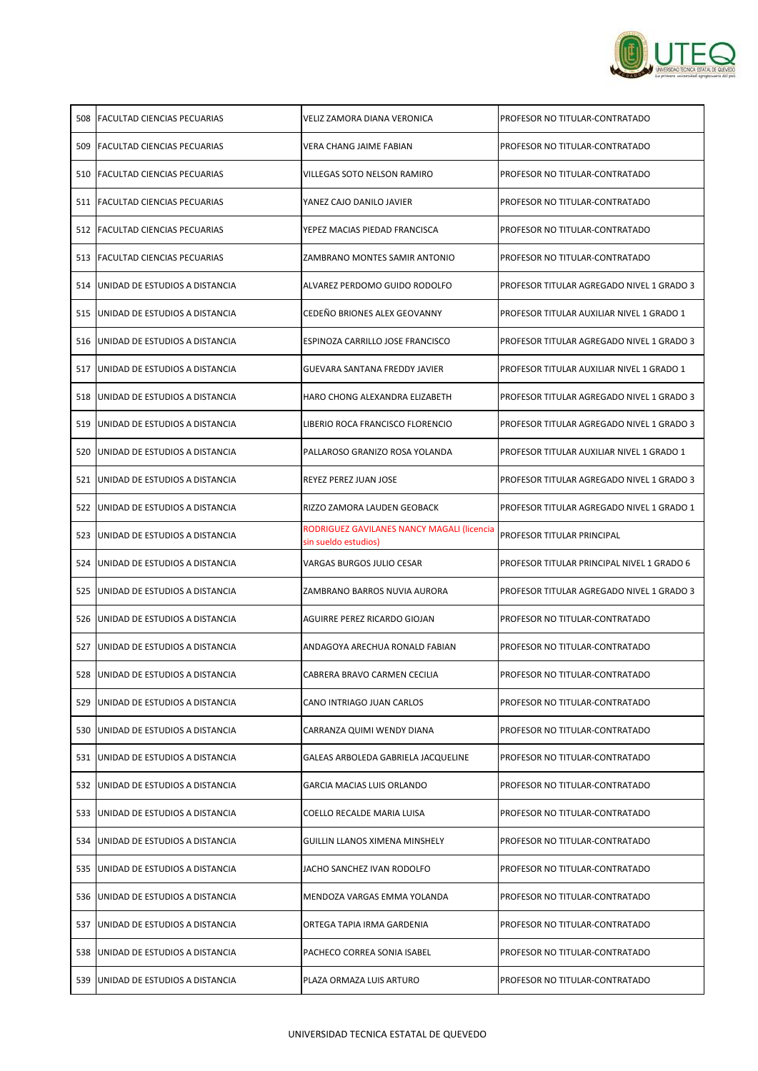

| 508  | <b>FACULTAD CIENCIAS PECUARIAS</b>     | VELIZ ZAMORA DIANA VERONICA                                        | PROFESOR NO TITULAR-CONTRATADO             |
|------|----------------------------------------|--------------------------------------------------------------------|--------------------------------------------|
| 509  | <b>IFACULTAD CIENCIAS PECUARIAS</b>    | VERA CHANG JAIME FABIAN                                            | PROFESOR NO TITULAR-CONTRATADO             |
|      | 510 FACULTAD CIENCIAS PECUARIAS        | VILLEGAS SOTO NELSON RAMIRO                                        | PROFESOR NO TITULAR-CONTRATADO             |
|      | 511 FACULTAD CIENCIAS PECUARIAS        | YANEZ CAJO DANILO JAVIER                                           | PROFESOR NO TITULAR-CONTRATADO             |
| 512  | <b>FACULTAD CIENCIAS PECUARIAS</b>     | YEPEZ MACIAS PIEDAD FRANCISCA                                      | PROFESOR NO TITULAR-CONTRATADO             |
| 513  | <b>FACULTAD CIENCIAS PECUARIAS</b>     | ZAMBRANO MONTES SAMIR ANTONIO                                      | PROFESOR NO TITULAR-CONTRATADO             |
| 514  | IUNIDAD DE ESTUDIOS A DISTANCIA        | ALVAREZ PERDOMO GUIDO RODOLFO                                      | PROFESOR TITULAR AGREGADO NIVEL 1 GRADO 3  |
| 515  | <b>JUNIDAD DE ESTUDIOS A DISTANCIA</b> | CEDEÑO BRIONES ALEX GEOVANNY                                       | PROFESOR TITULAR AUXILIAR NIVEL 1 GRADO 1  |
| 516  | <b>JUNIDAD DE ESTUDIOS A DISTANCIA</b> | <b>ESPINOZA CARRILLO JOSE FRANCISCO</b>                            | PROFESOR TITULAR AGREGADO NIVEL 1 GRADO 3  |
| 517  | <b>JUNIDAD DE ESTUDIOS A DISTANCIA</b> | GUEVARA SANTANA FREDDY JAVIER                                      | PROFESOR TITULAR AUXILIAR NIVEL 1 GRADO 1  |
| 518  | <b>JUNIDAD DE ESTUDIOS A DISTANCIA</b> | HARO CHONG ALEXANDRA ELIZABETH                                     | PROFESOR TITULAR AGREGADO NIVEL 1 GRADO 3  |
| 519  | <b>JUNIDAD DE ESTUDIOS A DISTANCIA</b> | LIBERIO ROCA FRANCISCO FLORENCIO                                   | PROFESOR TITULAR AGREGADO NIVEL 1 GRADO 3  |
| 520  | <b>JUNIDAD DE ESTUDIOS A DISTANCIA</b> | PALLAROSO GRANIZO ROSA YOLANDA                                     | PROFESOR TITULAR AUXILIAR NIVEL 1 GRADO 1  |
| 521  | <b>JUNIDAD DE ESTUDIOS A DISTANCIA</b> | <b>REYEZ PEREZ JUAN JOSE</b>                                       | PROFESOR TITULAR AGREGADO NIVEL 1 GRADO 3  |
| 522  | <b>JUNIDAD DE ESTUDIOS A DISTANCIA</b> | RIZZO ZAMORA LAUDEN GEOBACK                                        | PROFESOR TITULAR AGREGADO NIVEL 1 GRADO 1  |
| 523. | <b>JUNIDAD DE ESTUDIOS A DISTANCIA</b> | RODRIGUEZ GAVILANES NANCY MAGALI (licencia<br>sin sueldo estudios) | PROFESOR TITULAR PRINCIPAL                 |
| 524  | <b>JUNIDAD DE ESTUDIOS A DISTANCIA</b> | VARGAS BURGOS JULIO CESAR                                          | PROFESOR TITULAR PRINCIPAL NIVEL 1 GRADO 6 |
| 525  | <b>JUNIDAD DE ESTUDIOS A DISTANCIA</b> | ZAMBRANO BARROS NUVIA AURORA                                       | PROFESOR TITULAR AGREGADO NIVEL 1 GRADO 3  |
| 526  | <b>JUNIDAD DE ESTUDIOS A DISTANCIA</b> | AGUIRRE PEREZ RICARDO GIOJAN                                       | PROFESOR NO TITULAR-CONTRATADO             |
| 527  | <b>JUNIDAD DE ESTUDIOS A DISTANCIA</b> | ANDAGOYA ARECHUA RONALD FABIAN                                     | PROFESOR NO TITULAR-CONTRATADO             |
|      | 528 JUNIDAD DE ESTUDIOS A DISTANCIA    | CABRERA BRAVO CARMEN CECILIA                                       | PROFESOR NO TITULAR-CONTRATADO             |
| 529  | JUNIDAD DE ESTUDIOS A DISTANCIA        | CANO INTRIAGO JUAN CARLOS                                          | PROFESOR NO TITULAR-CONTRATADO             |
| 530  | <b>JUNIDAD DE ESTUDIOS A DISTANCIA</b> | CARRANZA QUIMI WENDY DIANA                                         | PROFESOR NO TITULAR-CONTRATADO             |
| 531  | <b>JUNIDAD DE ESTUDIOS A DISTANCIA</b> | GALEAS ARBOLEDA GABRIELA JACQUELINE                                | PROFESOR NO TITULAR-CONTRATADO             |
| 532  | <b>JUNIDAD DE ESTUDIOS A DISTANCIA</b> | <b>GARCIA MACIAS LUIS ORLANDO</b>                                  | PROFESOR NO TITULAR-CONTRATADO             |
| 533  | <b>JUNIDAD DE ESTUDIOS A DISTANCIA</b> | COELLO RECALDE MARIA LUISA                                         | PROFESOR NO TITULAR-CONTRATADO             |
| 534  | <b>JUNIDAD DE ESTUDIOS A DISTANCIA</b> | <b>GUILLIN LLANOS XIMENA MINSHELY</b>                              | PROFESOR NO TITULAR-CONTRATADO             |
|      | 535 JUNIDAD DE ESTUDIOS A DISTANCIA    | JACHO SANCHEZ IVAN RODOLFO                                         | PROFESOR NO TITULAR-CONTRATADO             |
| 536  | <b>JUNIDAD DE ESTUDIOS A DISTANCIA</b> | IMENDOZA VARGAS EMMA YOLANDA                                       | PROFESOR NO TITULAR-CONTRATADO             |
| 537  | <b>JUNIDAD DE ESTUDIOS A DISTANCIA</b> | ORTEGA TAPIA IRMA GARDENIA                                         | PROFESOR NO TITULAR-CONTRATADO             |
|      | 538 JUNIDAD DE ESTUDIOS A DISTANCIA    | PACHECO CORREA SONIA ISABEL                                        | PROFESOR NO TITULAR-CONTRATADO             |
|      | 539 JUNIDAD DE ESTUDIOS A DISTANCIA    | PLAZA ORMAZA LUIS ARTURO                                           | PROFESOR NO TITULAR-CONTRATADO             |